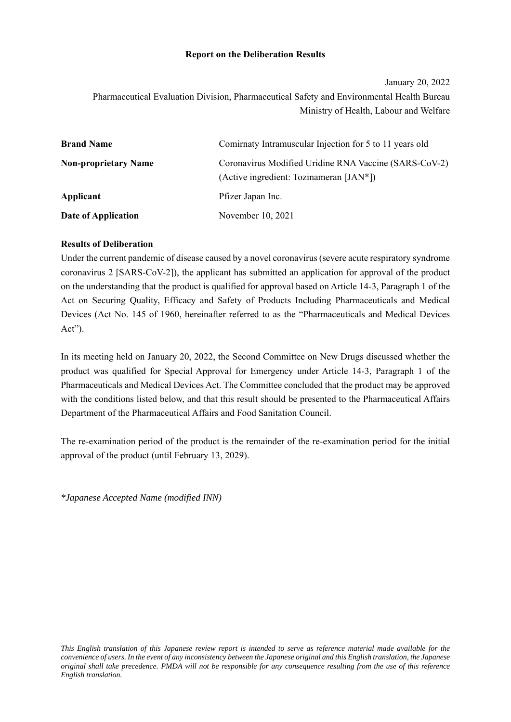#### **Report on the Deliberation Results**

January 20, 2022

Pharmaceutical Evaluation Division, Pharmaceutical Safety and Environmental Health Bureau Ministry of Health, Labour and Welfare

| <b>Brand Name</b>           | Comirnaty Intramuscular Injection for 5 to 11 years old                                              |
|-----------------------------|------------------------------------------------------------------------------------------------------|
| <b>Non-proprietary Name</b> | Coronavirus Modified Uridine RNA Vaccine (SARS-CoV-2)<br>(Active ingredient: Tozinameran $[IAN^*]$ ) |
| Applicant                   | Pfizer Japan Inc.                                                                                    |
| Date of Application         | November 10, 2021                                                                                    |

### **Results of Deliberation**

Under the current pandemic of disease caused by a novel coronavirus (severe acute respiratory syndrome coronavirus 2 [SARS-CoV-2]), the applicant has submitted an application for approval of the product on the understanding that the product is qualified for approval based on Article 14-3, Paragraph 1 of the Act on Securing Quality, Efficacy and Safety of Products Including Pharmaceuticals and Medical Devices (Act No. 145 of 1960, hereinafter referred to as the "Pharmaceuticals and Medical Devices Act").

In its meeting held on January 20, 2022, the Second Committee on New Drugs discussed whether the product was qualified for Special Approval for Emergency under Article 14-3, Paragraph 1 of the Pharmaceuticals and Medical Devices Act. The Committee concluded that the product may be approved with the conditions listed below, and that this result should be presented to the Pharmaceutical Affairs Department of the Pharmaceutical Affairs and Food Sanitation Council.

The re-examination period of the product is the remainder of the re-examination period for the initial approval of the product (until February 13, 2029).

*\*Japanese Accepted Name (modified INN)*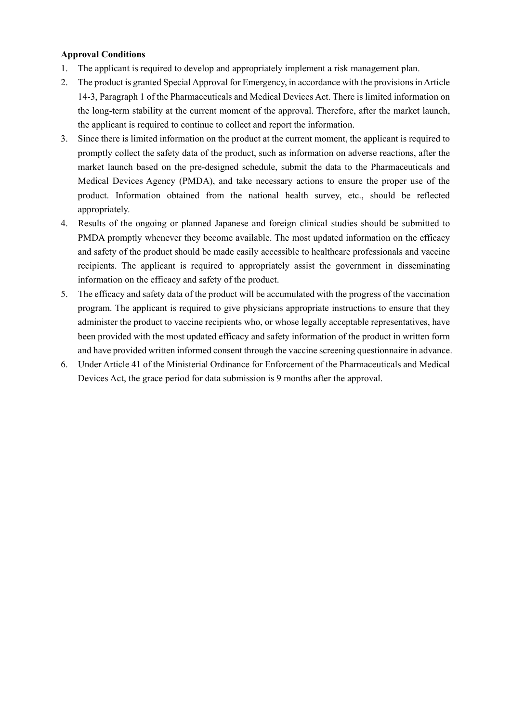# **Approval Conditions**

- 1. The applicant is required to develop and appropriately implement a risk management plan.
- 2. The product is granted Special Approval for Emergency, in accordance with the provisions in Article 14-3, Paragraph 1 of the Pharmaceuticals and Medical Devices Act. There is limited information on the long-term stability at the current moment of the approval. Therefore, after the market launch, the applicant is required to continue to collect and report the information.
- 3. Since there is limited information on the product at the current moment, the applicant is required to promptly collect the safety data of the product, such as information on adverse reactions, after the market launch based on the pre-designed schedule, submit the data to the Pharmaceuticals and Medical Devices Agency (PMDA), and take necessary actions to ensure the proper use of the product. Information obtained from the national health survey, etc., should be reflected appropriately.
- 4. Results of the ongoing or planned Japanese and foreign clinical studies should be submitted to PMDA promptly whenever they become available. The most updated information on the efficacy and safety of the product should be made easily accessible to healthcare professionals and vaccine recipients. The applicant is required to appropriately assist the government in disseminating information on the efficacy and safety of the product.
- 5. The efficacy and safety data of the product will be accumulated with the progress of the vaccination program. The applicant is required to give physicians appropriate instructions to ensure that they administer the product to vaccine recipients who, or whose legally acceptable representatives, have been provided with the most updated efficacy and safety information of the product in written form and have provided written informed consent through the vaccine screening questionnaire in advance.
- 6. Under Article 41 of the Ministerial Ordinance for Enforcement of the Pharmaceuticals and Medical Devices Act, the grace period for data submission is 9 months after the approval.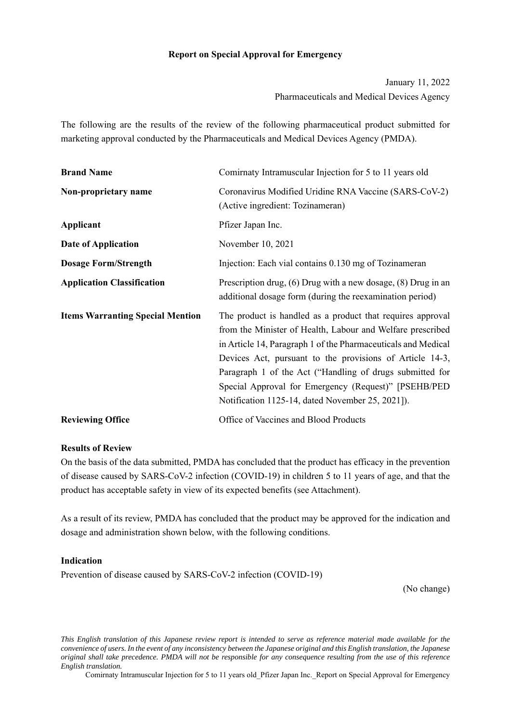#### **Report on Special Approval for Emergency**

January 11, 2022 Pharmaceuticals and Medical Devices Agency

The following are the results of the review of the following pharmaceutical product submitted for marketing approval conducted by the Pharmaceuticals and Medical Devices Agency (PMDA).

| <b>Brand Name</b>                       | Comirnaty Intramuscular Injection for 5 to 11 years old                                                                                                                                                                                                                                                                                                                                                                       |  |  |  |
|-----------------------------------------|-------------------------------------------------------------------------------------------------------------------------------------------------------------------------------------------------------------------------------------------------------------------------------------------------------------------------------------------------------------------------------------------------------------------------------|--|--|--|
| Non-proprietary name                    | Coronavirus Modified Uridine RNA Vaccine (SARS-CoV-2)<br>(Active ingredient: Tozinameran)                                                                                                                                                                                                                                                                                                                                     |  |  |  |
| Applicant                               | Pfizer Japan Inc.                                                                                                                                                                                                                                                                                                                                                                                                             |  |  |  |
| Date of Application                     | November 10, 2021                                                                                                                                                                                                                                                                                                                                                                                                             |  |  |  |
| <b>Dosage Form/Strength</b>             | Injection: Each vial contains 0.130 mg of Tozinameran                                                                                                                                                                                                                                                                                                                                                                         |  |  |  |
| <b>Application Classification</b>       | Prescription drug, $(6)$ Drug with a new dosage, $(8)$ Drug in an<br>additional dosage form (during the reexamination period)                                                                                                                                                                                                                                                                                                 |  |  |  |
| <b>Items Warranting Special Mention</b> | The product is handled as a product that requires approval<br>from the Minister of Health, Labour and Welfare prescribed<br>in Article 14, Paragraph 1 of the Pharmaceuticals and Medical<br>Devices Act, pursuant to the provisions of Article 14-3,<br>Paragraph 1 of the Act ("Handling of drugs submitted for<br>Special Approval for Emergency (Request)" [PSEHB/PED<br>Notification 1125-14, dated November 25, 2021]). |  |  |  |
| <b>Reviewing Office</b>                 | Office of Vaccines and Blood Products                                                                                                                                                                                                                                                                                                                                                                                         |  |  |  |

#### **Results of Review**

On the basis of the data submitted, PMDA has concluded that the product has efficacy in the prevention of disease caused by SARS-CoV-2 infection (COVID-19) in children 5 to 11 years of age, and that the product has acceptable safety in view of its expected benefits (see Attachment).

As a result of its review, PMDA has concluded that the product may be approved for the indication and dosage and administration shown below, with the following conditions.

#### **Indication**

Prevention of disease caused by SARS-CoV-2 infection (COVID-19)

(No change)

*This English translation of this Japanese review report is intended to serve as reference material made available for the convenience of users. In the event of any inconsistency between the Japanese original and this English translation, the Japanese original shall take precedence. PMDA will not be responsible for any consequence resulting from the use of this reference English translation.*

Comirnaty Intramuscular Injection for 5 to 11 years old\_Pfizer Japan Inc.\_Report on Special Approval for Emergency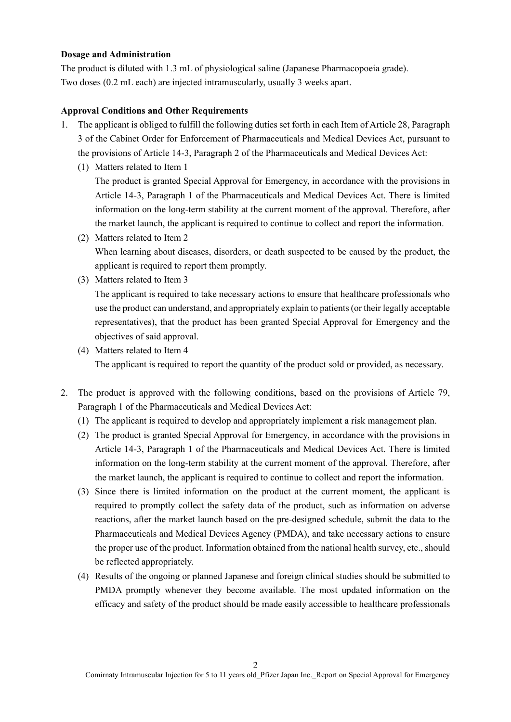#### **Dosage and Administration**

The product is diluted with 1.3 mL of physiological saline (Japanese Pharmacopoeia grade). Two doses (0.2 mL each) are injected intramuscularly, usually 3 weeks apart.

#### **Approval Conditions and Other Requirements**

- 1. The applicant is obliged to fulfill the following duties set forth in each Item of Article 28, Paragraph 3 of the Cabinet Order for Enforcement of Pharmaceuticals and Medical Devices Act, pursuant to the provisions of Article 14-3, Paragraph 2 of the Pharmaceuticals and Medical Devices Act:
	- (1) Matters related to Item 1

The product is granted Special Approval for Emergency, in accordance with the provisions in Article 14-3, Paragraph 1 of the Pharmaceuticals and Medical Devices Act. There is limited information on the long-term stability at the current moment of the approval. Therefore, after the market launch, the applicant is required to continue to collect and report the information.

- (2) Matters related to Item 2 When learning about diseases, disorders, or death suspected to be caused by the product, the applicant is required to report them promptly.
- (3) Matters related to Item 3

The applicant is required to take necessary actions to ensure that healthcare professionals who use the product can understand, and appropriately explain to patients (or their legally acceptable representatives), that the product has been granted Special Approval for Emergency and the objectives of said approval.

(4) Matters related to Item 4

The applicant is required to report the quantity of the product sold or provided, as necessary.

- 2. The product is approved with the following conditions, based on the provisions of Article 79, Paragraph 1 of the Pharmaceuticals and Medical Devices Act:
	- (1) The applicant is required to develop and appropriately implement a risk management plan.
	- (2) The product is granted Special Approval for Emergency, in accordance with the provisions in Article 14-3, Paragraph 1 of the Pharmaceuticals and Medical Devices Act. There is limited information on the long-term stability at the current moment of the approval. Therefore, after the market launch, the applicant is required to continue to collect and report the information.
	- (3) Since there is limited information on the product at the current moment, the applicant is required to promptly collect the safety data of the product, such as information on adverse reactions, after the market launch based on the pre-designed schedule, submit the data to the Pharmaceuticals and Medical Devices Agency (PMDA), and take necessary actions to ensure the proper use of the product. Information obtained from the national health survey, etc., should be reflected appropriately.
	- (4) Results of the ongoing or planned Japanese and foreign clinical studies should be submitted to PMDA promptly whenever they become available. The most updated information on the efficacy and safety of the product should be made easily accessible to healthcare professionals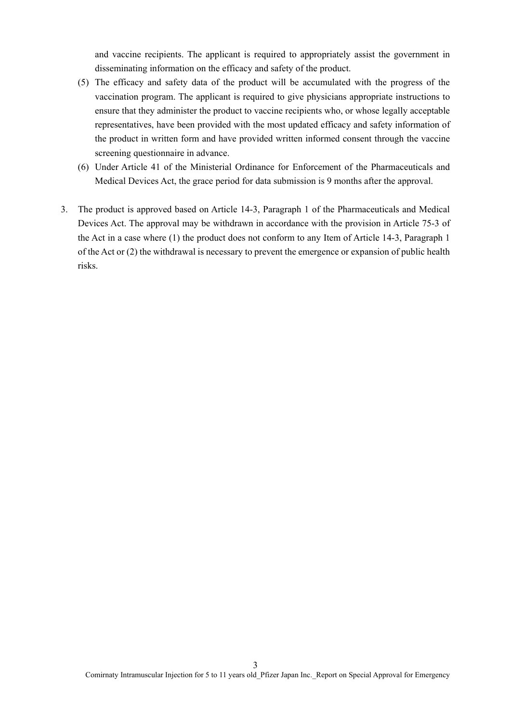and vaccine recipients. The applicant is required to appropriately assist the government in disseminating information on the efficacy and safety of the product.

- (5) The efficacy and safety data of the product will be accumulated with the progress of the vaccination program. The applicant is required to give physicians appropriate instructions to ensure that they administer the product to vaccine recipients who, or whose legally acceptable representatives, have been provided with the most updated efficacy and safety information of the product in written form and have provided written informed consent through the vaccine screening questionnaire in advance.
- (6) Under Article 41 of the Ministerial Ordinance for Enforcement of the Pharmaceuticals and Medical Devices Act, the grace period for data submission is 9 months after the approval.
- 3. The product is approved based on Article 14-3, Paragraph 1 of the Pharmaceuticals and Medical Devices Act. The approval may be withdrawn in accordance with the provision in Article 75-3 of the Act in a case where (1) the product does not conform to any Item of Article 14-3, Paragraph 1 of the Act or (2) the withdrawal is necessary to prevent the emergence or expansion of public health risks.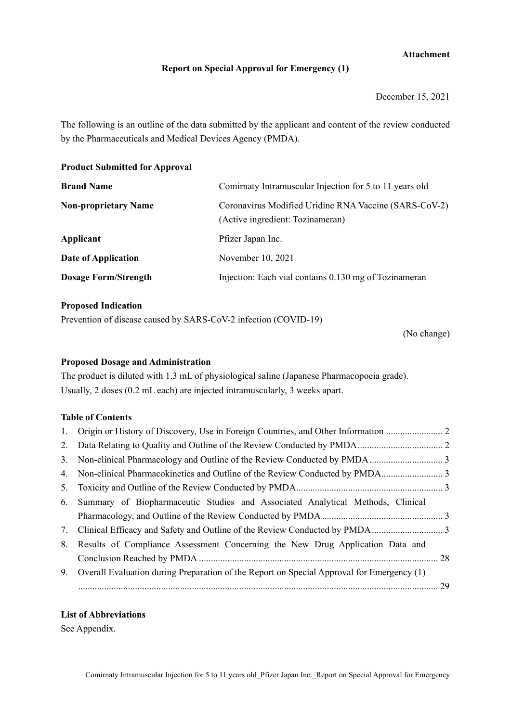# **Attachment**

#### **Report on Special Approval for Emergency (1)**

December 15, 2021

The following is an outline of the data submitted by the applicant and content of the review conducted by the Pharmaceuticals and Medical Devices Agency (PMDA).

**Product Submitted for Approval** 

| <b>Brand Name</b>           | Comirnaty Intramuscular Injection for 5 to 11 years old                                   |  |  |
|-----------------------------|-------------------------------------------------------------------------------------------|--|--|
| <b>Non-proprietary Name</b> | Coronavirus Modified Uridine RNA Vaccine (SARS-CoV-2)<br>(Active ingredient: Tozinameran) |  |  |
| Applicant                   | Pfizer Japan Inc.                                                                         |  |  |
| Date of Application         | November 10, 2021                                                                         |  |  |
| <b>Dosage Form/Strength</b> | Injection: Each vial contains 0.130 mg of Tozinameran                                     |  |  |

### **Proposed Indication**

Prevention of disease caused by SARS-CoV-2 infection (COVID-19)

(No change)

#### **Proposed Dosage and Administration**

The product is diluted with 1.3 mL of physiological saline (Japanese Pharmacopoeia grade). Usually, 2 doses (0.2 mL each) are injected intramuscularly, 3 weeks apart.

#### **Table of Contents**

| 4. Non-clinical Pharmacokinetics and Outline of the Review Conducted by PMDA                 |  |
|----------------------------------------------------------------------------------------------|--|
|                                                                                              |  |
| 6. Summary of Biopharmaceutic Studies and Associated Analytical Methods, Clinical            |  |
|                                                                                              |  |
| 7. Clinical Efficacy and Safety and Outline of the Review Conducted by PMDA                  |  |
| 8. Results of Compliance Assessment Concerning the New Drug Application Data and             |  |
|                                                                                              |  |
| 9. Overall Evaluation during Preparation of the Report on Special Approval for Emergency (1) |  |
|                                                                                              |  |

### **List of Abbreviations**

See Appendix.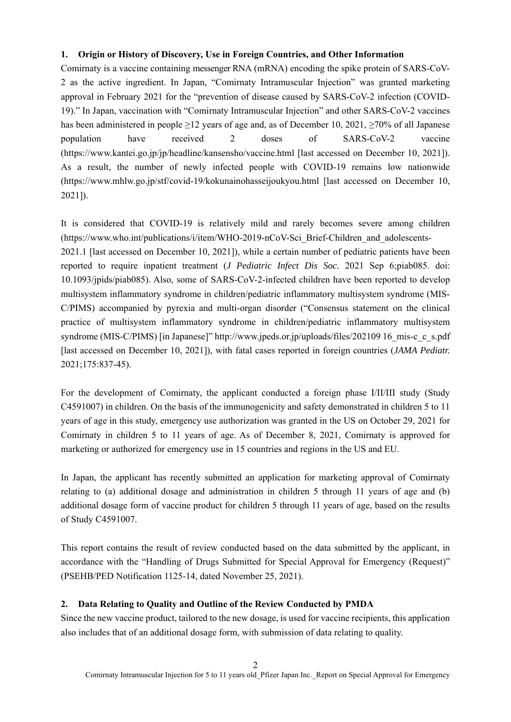### **1. Origin or History of Discovery, Use in Foreign Countries, and Other Information**

Comirnaty is a vaccine containing messenger RNA (mRNA) encoding the spike protein of SARS-CoV-2 as the active ingredient. In Japan, "Comirnaty Intramuscular Injection" was granted marketing approval in February 2021 for the "prevention of disease caused by SARS-CoV-2 infection (COVID-19)." In Japan, vaccination with "Comirnaty Intramuscular Injection" and other SARS-CoV-2 vaccines has been administered in people ≥12 years of age and, as of December 10, 2021, ≥70% of all Japanese population have received 2 doses of SARS-CoV-2 vaccine (https://www.kantei.go.jp/jp/headline/kansensho/vaccine.html [last accessed on December 10, 2021]). As a result, the number of newly infected people with COVID-19 remains low nationwide (https://www.mhlw.go.jp/stf/covid-19/kokunainohasseijoukyou.html [last accessed on December 10, 2021]).

It is considered that COVID-19 is relatively mild and rarely becomes severe among children (https://www.who.int/publications/i/item/WHO-2019-nCoV-Sci\_Brief-Children\_and\_adolescents-2021.1 [last accessed on December 10, 2021]), while a certain number of pediatric patients have been reported to require inpatient treatment (*J Pediatric Infect Dis Soc.* 2021 Sep 6;piab085. doi: 10.1093/jpids/piab085). Also, some of SARS-CoV-2-infected children have been reported to develop multisystem inflammatory syndrome in children/pediatric inflammatory multisystem syndrome (MIS-C/PIMS) accompanied by pyrexia and multi-organ disorder ("Consensus statement on the clinical practice of multisystem inflammatory syndrome in children/pediatric inflammatory multisystem syndrome (MIS-C/PIMS) [in Japanese]" http://www.jpeds.or.jp/uploads/files/202109 16\_mis-c\_c\_s.pdf [last accessed on December 10, 2021]), with fatal cases reported in foreign countries (*JAMA Pediatr.* 2021;175:837-45).

For the development of Comirnaty, the applicant conducted a foreign phase I/II/III study (Study C4591007) in children. On the basis of the immunogenicity and safety demonstrated in children 5 to 11 years of age in this study, emergency use authorization was granted in the US on October 29, 2021 for Comirnaty in children 5 to 11 years of age. As of December 8, 2021, Comirnaty is approved for marketing or authorized for emergency use in 15 countries and regions in the US and EU.

In Japan, the applicant has recently submitted an application for marketing approval of Comirnaty relating to (a) additional dosage and administration in children 5 through 11 years of age and (b) additional dosage form of vaccine product for children 5 through 11 years of age, based on the results of Study C4591007.

This report contains the result of review conducted based on the data submitted by the applicant, in accordance with the "Handling of Drugs Submitted for Special Approval for Emergency (Request)" (PSEHB/PED Notification 1125-14, dated November 25, 2021).

# **2. Data Relating to Quality and Outline of the Review Conducted by PMDA**

Since the new vaccine product, tailored to the new dosage, is used for vaccine recipients, this application also includes that of an additional dosage form, with submission of data relating to quality.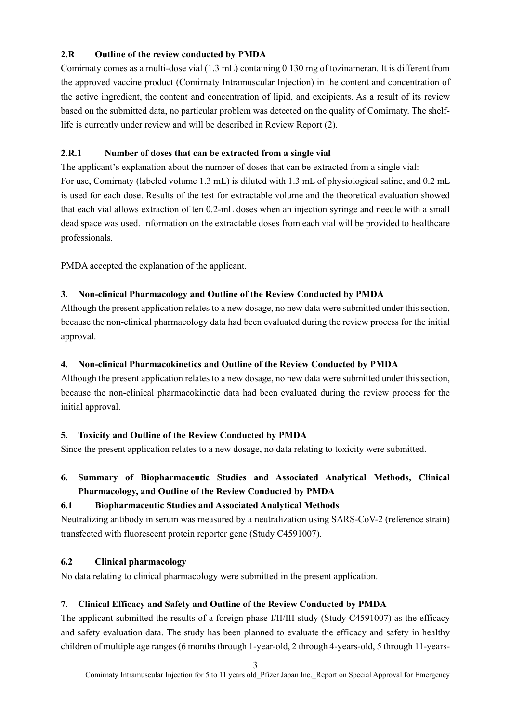# **2.R Outline of the review conducted by PMDA**

Comirnaty comes as a multi-dose vial (1.3 mL) containing 0.130 mg of tozinameran. It is different from the approved vaccine product (Comirnaty Intramuscular Injection) in the content and concentration of the active ingredient, the content and concentration of lipid, and excipients. As a result of its review based on the submitted data, no particular problem was detected on the quality of Comirnaty. The shelflife is currently under review and will be described in Review Report (2).

# **2.R.1 Number of doses that can be extracted from a single vial**

The applicant's explanation about the number of doses that can be extracted from a single vial: For use, Comirnaty (labeled volume 1.3 mL) is diluted with 1.3 mL of physiological saline, and 0.2 mL is used for each dose. Results of the test for extractable volume and the theoretical evaluation showed that each vial allows extraction of ten 0.2-mL doses when an injection syringe and needle with a small dead space was used. Information on the extractable doses from each vial will be provided to healthcare professionals.

PMDA accepted the explanation of the applicant.

# **3. Non-clinical Pharmacology and Outline of the Review Conducted by PMDA**

Although the present application relates to a new dosage, no new data were submitted under this section, because the non-clinical pharmacology data had been evaluated during the review process for the initial approval.

# **4. Non-clinical Pharmacokinetics and Outline of the Review Conducted by PMDA**

Although the present application relates to a new dosage, no new data were submitted under this section, because the non-clinical pharmacokinetic data had been evaluated during the review process for the initial approval.

# **5. Toxicity and Outline of the Review Conducted by PMDA**

Since the present application relates to a new dosage, no data relating to toxicity were submitted.

# **6. Summary of Biopharmaceutic Studies and Associated Analytical Methods, Clinical Pharmacology, and Outline of the Review Conducted by PMDA**

# **6.1 Biopharmaceutic Studies and Associated Analytical Methods**

Neutralizing antibody in serum was measured by a neutralization using SARS-CoV-2 (reference strain) transfected with fluorescent protein reporter gene (Study C4591007).

# **6.2 Clinical pharmacology**

No data relating to clinical pharmacology were submitted in the present application.

# **7. Clinical Efficacy and Safety and Outline of the Review Conducted by PMDA**

The applicant submitted the results of a foreign phase I/II/III study (Study C4591007) as the efficacy and safety evaluation data. The study has been planned to evaluate the efficacy and safety in healthy children of multiple age ranges (6 months through 1-year-old, 2 through 4-years-old, 5 through 11-years-

3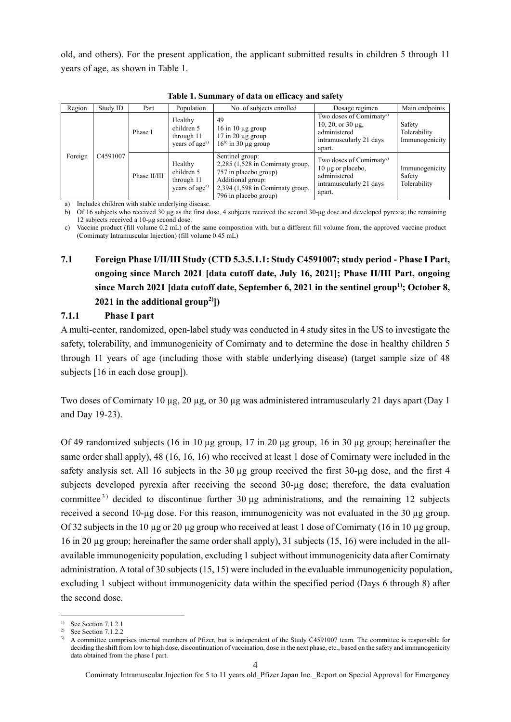old, and others). For the present application, the applicant submitted results in children 5 through 11 years of age, as shown in Table 1.

| Region  | Study ID | Part         | Population                                                        | No. of subjects enrolled                                                                                                                                           | Dosage regimen                                                                                                        | Main endpoints                           |
|---------|----------|--------------|-------------------------------------------------------------------|--------------------------------------------------------------------------------------------------------------------------------------------------------------------|-----------------------------------------------------------------------------------------------------------------------|------------------------------------------|
|         |          | Phase I      | Healthy<br>children 5<br>through 11<br>years of age <sup>a)</sup> | 49<br>$16$ in $10 \mu$ g group<br>$17$ in $20 \mu g$ group<br>$16^{b}$ in 30 µg group                                                                              | Two doses of Comirnaty <sup>c)</sup><br>$10, 20,$ or $30 \mu$ g,<br>administered<br>intramuscularly 21 days<br>apart. | Safety<br>Tolerability<br>Immunogenicity |
| Foreign | C4591007 | Phase II/III | Healthy<br>children 5<br>through 11<br>years of age <sup>a)</sup> | Sentinel group:<br>$2,285$ (1,528 in Comirnaty group,<br>757 in placebo group)<br>Additional group:<br>$2,394$ (1,598 in Comirnaty group,<br>796 in placebo group) | Two doses of Comirnaty <sup>c)</sup><br>$10 \mu$ g or placebo,<br>administered<br>intramuscularly 21 days<br>apart.   | Immunogenicity<br>Safety<br>Tolerability |

**Table 1. Summary of data on efficacy and safety** 

a) Includes children with stable underlying disease.

b) Of 16 subjects who received 30 µg as the first dose, 4 subjects received the second 30-μg dose and developed pyrexia; the remaining 12 subjects received a 10-μg second dose.

c) Vaccine product (fill volume 0.2 mL) of the same composition with, but a different fill volume from, the approved vaccine product (Comirnaty Intramuscular Injection) (fill volume 0.45 mL)

# **7.1 Foreign Phase I/II/III Study (CTD 5.3.5.1.1: Study C4591007; study period - Phase I Part, ongoing since March 2021 [data cutoff date, July 16, 2021]; Phase II/III Part, ongoing since March 2021 [data cutoff date, September 6, 2021 in the sentinel group1); October 8, 2021 in the additional group2)])**

# **7.1.1 Phase I part**

A multi-center, randomized, open-label study was conducted in 4 study sites in the US to investigate the safety, tolerability, and immunogenicity of Comirnaty and to determine the dose in healthy children 5 through 11 years of age (including those with stable underlying disease) (target sample size of 48 subjects [16 in each dose group]).

Two doses of Comirnaty 10 µg, 20 µg, or 30 µg was administered intramuscularly 21 days apart (Day 1 and Day 19-23).

Of 49 randomized subjects (16 in 10  $\mu$ g group, 17 in 20  $\mu$ g group, 16 in 30  $\mu$ g group; hereinafter the same order shall apply), 48 (16, 16, 16) who received at least 1 dose of Comirnaty were included in the safety analysis set. All 16 subjects in the 30 µg group received the first 30-µg dose, and the first 4 subjects developed pyrexia after receiving the second 30-µg dose; therefore, the data evaluation committee<sup>3)</sup> decided to discontinue further 30  $\mu$ g administrations, and the remaining 12 subjects received a second 10-µg dose. For this reason, immunogenicity was not evaluated in the 30 µg group. Of 32 subjects in the 10 µg or 20 µg group who received at least 1 dose of Comirnaty (16 in 10 µg group, 16 in 20 µg group; hereinafter the same order shall apply), 31 subjects (15, 16) were included in the allavailable immunogenicity population, excluding 1 subject without immunogenicity data after Comirnaty administration. A total of 30 subjects (15, 15) were included in the evaluable immunogenicity population, excluding 1 subject without immunogenicity data within the specified period (Days 6 through 8) after the second dose.

1

<sup>&</sup>lt;sup>1)</sup> See Section 7.1.2.1

<sup>2)</sup> See Section 7.1.2.2

<sup>3)</sup> A committee comprises internal members of Pfizer, but is independent of the Study C4591007 team. The committee is responsible for deciding the shift from low to high dose, discontinuation of vaccination, dose in the next phase, etc., based on the safety and immunogenicity data obtained from the phase I part.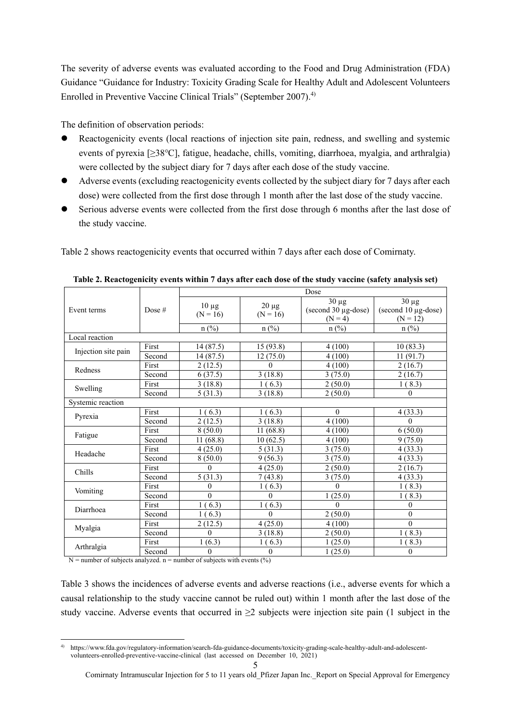The severity of adverse events was evaluated according to the Food and Drug Administration (FDA) Guidance "Guidance for Industry: Toxicity Grading Scale for Healthy Adult and Adolescent Volunteers Enrolled in Preventive Vaccine Clinical Trials" (September 2007).<sup>4)</sup>

The definition of observation periods:

- Reactogenicity events (local reactions of injection site pain, redness, and swelling and systemic events of pyrexia [≥38℃], fatigue, headache, chills, vomiting, diarrhoea, myalgia, and arthralgia) were collected by the subject diary for 7 days after each dose of the study vaccine.
- Adverse events (excluding reactogenicity events collected by the subject diary for 7 days after each dose) were collected from the first dose through 1 month after the last dose of the study vaccine.
- Serious adverse events were collected from the first dose through 6 months after the last dose of the study vaccine.

Table 2 shows reactogenicity events that occurred within 7 days after each dose of Comirnaty.

|                     |          | Dose       |            |                                   |                                   |  |  |
|---------------------|----------|------------|------------|-----------------------------------|-----------------------------------|--|--|
| Event terms         | Dose $#$ | $10 \mu g$ | $20 \mu g$ | $30 \mu g$<br>(second 30 µg-dose) | $30 \mu g$<br>(second 10 µg-dose) |  |  |
|                     |          | $(N = 16)$ | $(N = 16)$ | $(N = 4)$                         | $(N = 12)$                        |  |  |
|                     |          | $n$ (%)    | $n$ (%)    | $n$ (%)                           | $n$ (%)                           |  |  |
| Local reaction      |          |            |            |                                   |                                   |  |  |
| Injection site pain | First    | 14(87.5)   | 15(93.8)   | 4(100)                            | 10(83.3)                          |  |  |
|                     | Second   | 14 (87.5)  | 12(75.0)   | 4 (100)                           | 11(91.7)                          |  |  |
| Redness             | First    | 2(12.5)    | $\Omega$   | 4(100)                            | 2(16.7)                           |  |  |
|                     | Second   | 6(37.5)    | 3(18.8)    | 3(75.0)                           | 2(16.7)                           |  |  |
| Swelling            | First    | 3(18.8)    | 1(6.3)     | 2(50.0)                           | 1(8.3)                            |  |  |
|                     | Second   | 5(31.3)    | 3(18.8)    | 2(50.0)                           | $\theta$                          |  |  |
| Systemic reaction   |          |            |            |                                   |                                   |  |  |
| Pyrexia             | First    | 1(6.3)     | 1(6.3)     | $\theta$                          | 4(33.3)                           |  |  |
|                     | Second   | 2(12.5)    | 3(18.8)    | 4 (100)                           | $\theta$                          |  |  |
|                     | First    | 8(50.0)    | 11(68.8)   | 4(100)                            | 6(50.0)                           |  |  |
| Fatigue             | Second   | 11 (68.8)  | 10(62.5)   | 4(100)                            | 9(75.0)                           |  |  |
| Headache            | First    | 4(25.0)    | 5(31.3)    | 3(75.0)                           | 4(33.3)                           |  |  |
|                     | Second   | 8(50.0)    | 9(56.3)    | 3(75.0)                           | 4(33.3)                           |  |  |
| Chills              | First    | $\Omega$   | 4(25.0)    | 2(50.0)                           | 2(16.7)                           |  |  |
|                     | Second   | 5(31.3)    | 7(43.8)    | 3(75.0)                           | 4(33.3)                           |  |  |
| Vomiting            | First    | $\theta$   | 1(6.3)     | $\theta$                          | 1(8.3)                            |  |  |
|                     | Second   | $\theta$   | $\Omega$   | 1(25.0)                           | 1(8.3)                            |  |  |
| Diarrhoea           | First    | 1(6.3)     | 1(6.3)     | $\theta$                          | $\Omega$                          |  |  |
|                     | Second   | 1(6.3)     | $\Omega$   | 2(50.0)                           | $\theta$                          |  |  |
| Myalgia             | First    | 2(12.5)    | 4(25.0)    | 4(100)                            | $\theta$                          |  |  |
|                     | Second   | $\theta$   | 3(18.8)    | 2(50.0)                           | 1(8.3)                            |  |  |
| Arthralgia          | First    | 1(6.3)     | 1(6.3)     | 1(25.0)                           | 1(8.3)                            |  |  |
|                     | Second   | $\theta$   | $\theta$   | 1(25.0)                           | $\theta$                          |  |  |

**Table 2. Reactogenicity events within 7 days after each dose of the study vaccine (safety analysis set)** 

 $N =$  number of subjects analyzed. n = number of subjects with events (%)

Table 3 shows the incidences of adverse events and adverse reactions (i.e., adverse events for which a causal relationship to the study vaccine cannot be ruled out) within 1 month after the last dose of the study vaccine. Adverse events that occurred in  $\geq 2$  subjects were injection site pain (1 subject in the

<sup>-</sup>4) https://www.fda.gov/regulatory-information/search-fda-guidance-documents/toxicity-grading-scale-healthy-adult-and-adolescentvolunteers-enrolled-preventive-vaccine-clinical (last accessed on December 10, 2021)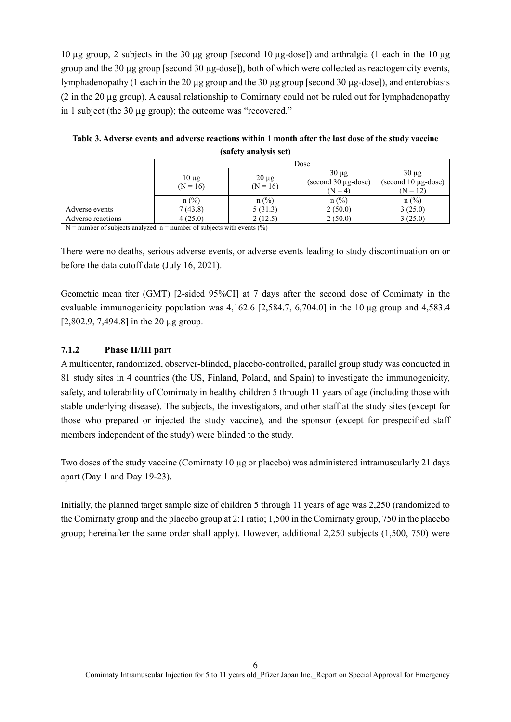10 µg group, 2 subjects in the 30 µg group [second 10 µg-dose]) and arthralgia (1 each in the 10 µg group and the 30 µg group [second 30 µg-dose]), both of which were collected as reactogenicity events, lymphadenopathy (1 each in the 20 µg group and the 30 µg group [second 30 µg-dose]), and enterobiasis (2 in the 20 µg group). A causal relationship to Comirnaty could not be ruled out for lymphadenopathy in 1 subject (the 30 µg group); the outcome was "recovered."

|                   | Dose                     |                          |                                                                 |                                                      |  |
|-------------------|--------------------------|--------------------------|-----------------------------------------------------------------|------------------------------------------------------|--|
|                   | $10 \mu g$<br>$(N = 16)$ | $20 \mu g$<br>$(N = 16)$ | $30 \mu g$<br>$(\text{second }30 \text{ µg-dose})$<br>$(N = 4)$ | $30 \mu g$<br>(second $10 \mu$ g-dose)<br>$(N = 12)$ |  |
|                   | $n$ (%)                  | $n$ (%)                  | $n$ (%)                                                         | $n$ (%)                                              |  |
| Adverse events    | 7(43.8)                  | 5(31.3)                  | 2(50.0)                                                         | 3(25.0)                                              |  |
| Adverse reactions | 4(25.0)                  | 2(12.5)                  | 2(50.0)                                                         | 3(25.0)                                              |  |

**Table 3. Adverse events and adverse reactions within 1 month after the last dose of the study vaccine (safety analysis set)** 

 $N =$  number of subjects analyzed. n = number of subjects with events (%)

There were no deaths, serious adverse events, or adverse events leading to study discontinuation on or before the data cutoff date (July 16, 2021).

Geometric mean titer (GMT) [2-sided 95%CI] at 7 days after the second dose of Comirnaty in the evaluable immunogenicity population was  $4.162.6$  [2,584.7, 6,704.0] in the 10 ug group and  $4.583.4$  $[2,802.9, 7,494.8]$  in the 20 µg group.

#### **7.1.2 Phase II/III part**

A multicenter, randomized, observer-blinded, placebo-controlled, parallel group study was conducted in 81 study sites in 4 countries (the US, Finland, Poland, and Spain) to investigate the immunogenicity, safety, and tolerability of Comirnaty in healthy children 5 through 11 years of age (including those with stable underlying disease). The subjects, the investigators, and other staff at the study sites (except for those who prepared or injected the study vaccine), and the sponsor (except for prespecified staff members independent of the study) were blinded to the study.

Two doses of the study vaccine (Comirnaty 10 µg or placebo) was administered intramuscularly 21 days apart (Day 1 and Day 19-23).

Initially, the planned target sample size of children 5 through 11 years of age was 2,250 (randomized to the Comirnaty group and the placebo group at 2:1 ratio; 1,500 in the Comirnaty group, 750 in the placebo group; hereinafter the same order shall apply). However, additional 2,250 subjects (1,500, 750) were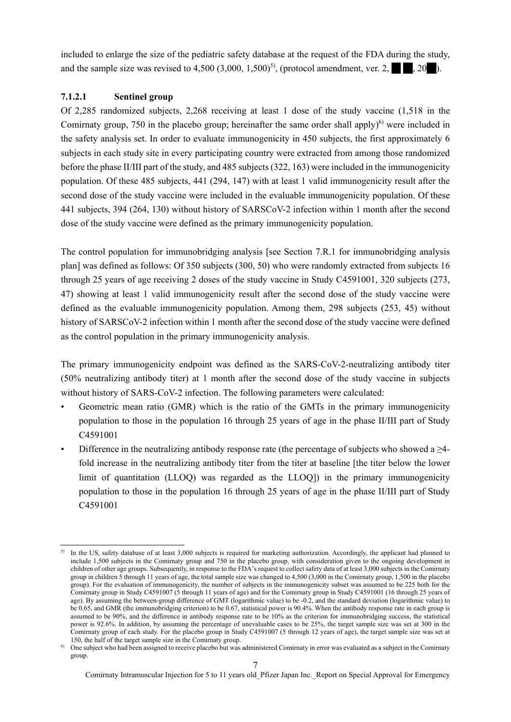included to enlarge the size of the pediatric safety database at the request of the FDA during the study, and the sample size was revised to  $4,500$   $(3,000, 1,500)^5$ , (protocol amendment, ver. 2,  $\blacksquare$ , 20 $\blacksquare$ ).

### **7.1.2.1 Sentinel group**

Of 2,285 randomized subjects, 2,268 receiving at least 1 dose of the study vaccine (1,518 in the Comirnaty group, 750 in the placebo group; hereinafter the same order shall apply $6^{\circ}$  were included in the safety analysis set. In order to evaluate immunogenicity in 450 subjects, the first approximately 6 subjects in each study site in every participating country were extracted from among those randomized before the phase II/III part of the study, and 485 subjects (322, 163) were included in the immunogenicity population. Of these 485 subjects, 441 (294, 147) with at least 1 valid immunogenicity result after the second dose of the study vaccine were included in the evaluable immunogenicity population. Of these 441 subjects, 394 (264, 130) without history of SARSCoV-2 infection within 1 month after the second dose of the study vaccine were defined as the primary immunogenicity population.

The control population for immunobridging analysis [see Section 7.R.1 for immunobridging analysis plan] was defined as follows: Of 350 subjects (300, 50) who were randomly extracted from subjects 16 through 25 years of age receiving 2 doses of the study vaccine in Study C4591001, 320 subjects (273, 47) showing at least 1 valid immunogenicity result after the second dose of the study vaccine were defined as the evaluable immunogenicity population. Among them, 298 subjects (253, 45) without history of SARSCoV-2 infection within 1 month after the second dose of the study vaccine were defined as the control population in the primary immunogenicity analysis.

The primary immunogenicity endpoint was defined as the SARS-CoV-2-neutralizing antibody titer (50% neutralizing antibody titer) at 1 month after the second dose of the study vaccine in subjects without history of SARS-CoV-2 infection. The following parameters were calculated:

- Geometric mean ratio (GMR) which is the ratio of the GMTs in the primary immunogenicity population to those in the population 16 through 25 years of age in the phase II/III part of Study C4591001
- Difference in the neutralizing antibody response rate (the percentage of subjects who showed a  $\geq 4$ fold increase in the neutralizing antibody titer from the titer at baseline [the titer below the lower limit of quantitation (LLOQ) was regarded as the LLOQ]) in the primary immunogenicity population to those in the population 16 through 25 years of age in the phase II/III part of Study C4591001

<sup>1</sup> <sup>5)</sup> In the US, safety database of at least 3,000 subjects is required for marketing authorization. Accordingly, the applicant had planned to include 1,500 subjects in the Comirnaty group and 750 in the placebo group, with consideration given to the ongoing development in children of other age groups. Subsequently, in response to the FDA's request to collect safety data of at least 3,000 subjects in the Comirnaty group in children 5 through 11 years of age, the total sample size was changed to 4,500 (3,000 in the Comirnaty group, 1,500 in the placebo group). For the evaluation of immunogenicity, the number of subjects in the immunogenicity subset was assumed to be 225 both for the Comirnaty group in Study C4591007 (5 through 11 years of age) and for the Comirnaty group in Study C4591001 (16 through 25 years of age). By assuming the between-group difference of GMT (logarithmic value) to be -0.2, and the standard deviation (logarithmic value) to be 0.65, and GMR (the immunobridging criterion) to be 0.67, statistical power is 90.4%. When the antibody response rate in each group is assumed to be 90%, and the difference in antibody response rate to be 10% as the criterion for immunobridging success, the statistical power is 92.6%. In addition, by assuming the percentage of unevaluable cases to be 25%, the target sample size was set at 300 in the Comirnaty group of each study. For the placebo group in Study C4591007 (5 through 12 years of age), the target sample size was set at 150, the half of the target sample size in the Comirnaty group.

 $<sup>6)</sup>$  One subject who had been assigned to receive placebo but was administered Comirnaty in error was evaluated as a subject in the Comirnaty</sup> group.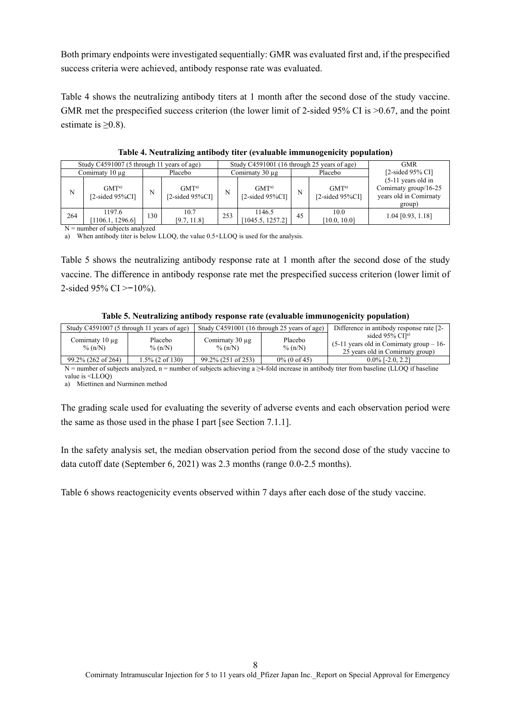Both primary endpoints were investigated sequentially: GMR was evaluated first and, if the prespecified success criteria were achieved, antibody response rate was evaluated.

Table 4 shows the neutralizing antibody titers at 1 month after the second dose of the study vaccine. GMR met the prespecified success criterion (the lower limit of 2-sided 95% CI is  $>0.67$ , and the point estimate is  $\geq 0.8$ ).

| Study C4591007 (5 through 11 years of age) |                                                       |     |                                        | Study C4591001 (16 through 25 years of age) |                                           |    | <b>GMR</b>                             |                                                                                    |
|--------------------------------------------|-------------------------------------------------------|-----|----------------------------------------|---------------------------------------------|-------------------------------------------|----|----------------------------------------|------------------------------------------------------------------------------------|
|                                            | Comirnaty $10 \mu$ g                                  |     | Placebo                                |                                             | Comirnaty $30 \mu$ g                      |    | Placebo                                | [ $2$ -sided $95\%$ CI]                                                            |
| N                                          | GMT <sup>a</sup><br>$[2\text{-sided }95\% \text{CI}]$ | N   | GMT <sup>a</sup><br>$[2$ -sided 95%CI] | N                                           | GMT <sup>a</sup><br>$[2$ -sided 95% $CI]$ | N  | GMT <sup>a</sup><br>$[2-sided 95\%CI]$ | $(5-11)$ years old in<br>Comirnaty group/16-25<br>years old in Comirnaty<br>group) |
| 264                                        | 1197.6<br>1106.1, 1296.6                              | 130 | 10.7<br>[9.7, 11.8]                    | 253                                         | 1146.5<br>[1045.5, 1257.2]                | 45 | 10.0<br>[10.0, 10.0]                   | $1.04$ [0.93, 1.18]                                                                |

**Table 4. Neutralizing antibody titer (evaluable immunogenicity population)** 

N = number of subjects analyzed

a) When antibody titer is below LLOQ, the value 0.5×LLOQ is used for the analysis.

Table 5 shows the neutralizing antibody response rate at 1 month after the second dose of the study vaccine. The difference in antibody response rate met the prespecified success criterion (lower limit of 2-sided 95% CI > −10%).

#### **Table 5. Neutralizing antibody response rate (evaluable immunogenicity population)**

|                                   | Study C4591007 (5 through 11 years of age) | Study C4591001 (16 through 25 years of age) |                      | Difference in antibody response rate [2-1]                                                                        |
|-----------------------------------|--------------------------------------------|---------------------------------------------|----------------------|-------------------------------------------------------------------------------------------------------------------|
| Comirnaty $10 \mu$ g<br>% $(n/N)$ | Placebo<br>% $(n/N)$                       | Comirnaty $30 \mu$ g<br>% $(n/N)$           | Placebo<br>% $(n/N)$ | sided $95\%$ CI <sup>[a]</sup><br>$(5-11)$ years old in Comirnaty group $-16$<br>25 years old in Comirnaty group) |
| 99.2% (262 of 264)                | 1.5% (2 of 130)                            | 99.2% (251 of 253)                          | $0\%$ (0 of 45)      | $0.0\%$ [-2.0, 2.2]                                                                                               |

N = number of subjects analyzed, n = number of subjects achieving a ≥4-fold increase in antibody titer from baseline (LLOQ if baseline value is <LLOQ)

a) Miettinen and Nurminen method

The grading scale used for evaluating the severity of adverse events and each observation period were the same as those used in the phase I part [see Section 7.1.1].

In the safety analysis set, the median observation period from the second dose of the study vaccine to data cutoff date (September 6, 2021) was 2.3 months (range 0.0-2.5 months).

Table 6 shows reactogenicity events observed within 7 days after each dose of the study vaccine.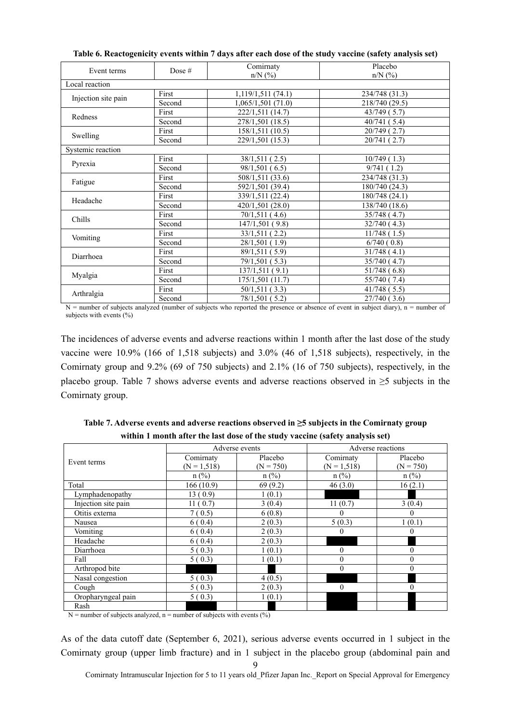|                     |        | Comirnaty                     | Placebo        |
|---------------------|--------|-------------------------------|----------------|
| Event terms         | Dose # | $n/N$ (%)                     | $n/N$ (%)      |
| Local reaction      |        |                               |                |
|                     | First  | 1,119/1,511(74.1)             | 234/748 (31.3) |
| Injection site pain | Second | 1,065/1,501 (71.0)            | 218/740 (29.5) |
| Redness             | First  | 222/1,511 (14.7)              | 43/749(5.7)    |
|                     | Second | 278/1,501 (18.5)              | 40/741(5.4)    |
|                     | First  | 158/1,511 (10.5)              | 20/749(2.7)    |
| Swelling            | Second | 229/1,501 (15.3)              | 20/741(2.7)    |
| Systemic reaction   |        |                               |                |
|                     | First  | 38/1,511 (2.5)                | 10/749(1.3)    |
| Pyrexia             | Second | 98/1,501(6.5)                 | 9/741(1.2)     |
| Fatigue             | First  | 508/1,511 (33.6)              | 234/748 (31.3) |
|                     | Second | 592/1,501 (39.4)              | 180/740 (24.3) |
| Headache            | First  | $\overline{339/1,511}$ (22.4) | 180/748 (24.1) |
|                     | Second | 420/1,501 (28.0)              | 138/740 (18.6) |
| Chills              | First  | 70/1,511(4.6)                 | 35/748 (4.7)   |
|                     | Second | 147/1,501 (9.8)               | 32/740(4.3)    |
|                     | First  | 33/1,511(2.2)                 | 11/748(1.5)    |
| Vomiting            | Second | 28/1,501 (1.9)                | 6/740(0.8)     |
| Diarrhoea           | First  | 89/1,511 (5.9)                | 31/748(4.1)    |
|                     | Second | 79/1,501 (5.3)                | 35/740 (4.7)   |
|                     | First  | 137/1,511 (9.1)               | 51/748(6.8)    |
| Myalgia             | Second | 175/1,501 (11.7)              | 55/740 (7.4)   |
|                     | First  | 50/1,511 (3.3)                | 41/748(5.5)    |
| Arthralgia          | Second | 78/1,501 (5.2)                | 27/740(3.6)    |

**Table 6. Reactogenicity events within 7 days after each dose of the study vaccine (safety analysis set)** 

 $N =$  number of subjects analyzed (number of subjects who reported the presence or absence of event in subject diary), n = number of subjects with events  $(\% )$ 

The incidences of adverse events and adverse reactions within 1 month after the last dose of the study vaccine were 10.9% (166 of 1,518 subjects) and 3.0% (46 of 1,518 subjects), respectively, in the Comirnaty group and 9.2% (69 of 750 subjects) and 2.1% (16 of 750 subjects), respectively, in the placebo group. Table 7 shows adverse events and adverse reactions observed in ≥5 subjects in the Comirnaty group.

**Table 7. Adverse events and adverse reactions observed in ≥5 subjects in the Comirnaty group within 1 month after the last dose of the study vaccine (safety analysis set)** 

|                     |                | Adverse events | Adverse reactions |              |  |
|---------------------|----------------|----------------|-------------------|--------------|--|
| Event terms         | Comirnaty      | Placebo        | Comirnaty         | Placebo      |  |
|                     | $(N = 1, 518)$ | $(N = 750)$    | $(N = 1, 518)$    | $(N = 750)$  |  |
|                     | $n$ (%)        | $n$ (%)        | $n$ (%)           | $n$ (%)      |  |
| Total               | 166(10.9)      | 69(9.2)        | 46(3.0)           | 16(2.1)      |  |
| Lymphadenopathy     | 13(0.9)        | 1(0.1)         |                   |              |  |
| Injection site pain | 11(0.7)        | 3(0.4)         | 11(0.7)           | 3(0.4)       |  |
| Otitis externa      | 7(0.5)         | 6(0.8)         | $\theta$          | $\bf{0}$     |  |
| Nausea              | 6(0.4)         | 2(0.3)         | 5(0.3)            | 1(0.1)       |  |
| Vomiting            | 6(0.4)         | 2(0.3)         | $\theta$          | $\theta$     |  |
| Headache            | 6(0.4)         | 2(0.3)         |                   |              |  |
| Diarrhoea           | 5(0.3)         | 1(0.1)         | $\theta$          | $\theta$     |  |
| Fall                | 5(0.3)         | 1(0.1)         | $\theta$          | $\mathbf{0}$ |  |
| Arthropod bite      |                |                | $\mathbf{0}$      | $\theta$     |  |
| Nasal congestion    | 5(0.3)         | 4(0.5)         |                   |              |  |
| Cough               | 5(0.3)         | 2(0.3)         | $\theta$          | $\Omega$     |  |
| Oropharyngeal pain  | 5(0.3)         | 1(0.1)         |                   |              |  |
| Rash                |                |                |                   |              |  |

 $N =$  number of subjects analyzed, n = number of subjects with events (%)

As of the data cutoff date (September 6, 2021), serious adverse events occurred in 1 subject in the Comirnaty group (upper limb fracture) and in 1 subject in the placebo group (abdominal pain and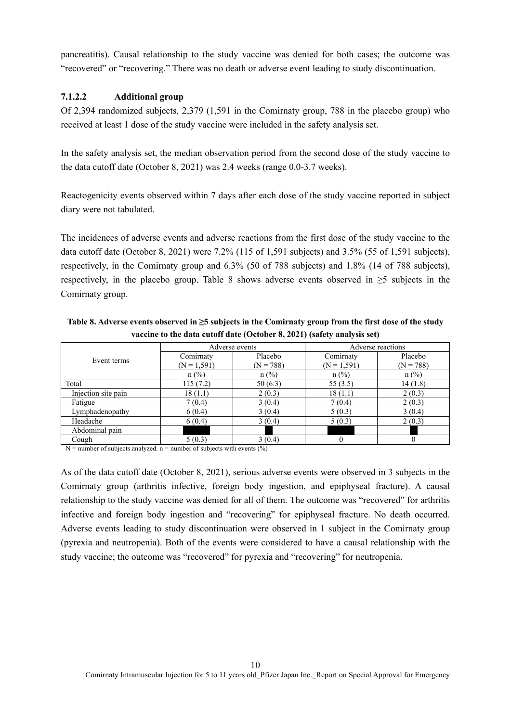pancreatitis). Causal relationship to the study vaccine was denied for both cases; the outcome was "recovered" or "recovering." There was no death or adverse event leading to study discontinuation.

# **7.1.2.2 Additional group**

Of 2,394 randomized subjects, 2,379 (1,591 in the Comirnaty group, 788 in the placebo group) who received at least 1 dose of the study vaccine were included in the safety analysis set.

In the safety analysis set, the median observation period from the second dose of the study vaccine to the data cutoff date (October 8, 2021) was 2.4 weeks (range 0.0-3.7 weeks).

Reactogenicity events observed within 7 days after each dose of the study vaccine reported in subject diary were not tabulated.

The incidences of adverse events and adverse reactions from the first dose of the study vaccine to the data cutoff date (October 8, 2021) were 7.2% (115 of 1,591 subjects) and 3.5% (55 of 1,591 subjects), respectively, in the Comirnaty group and 6.3% (50 of 788 subjects) and 1.8% (14 of 788 subjects), respectively, in the placebo group. Table 8 shows adverse events observed in ≥5 subjects in the Comirnaty group.

**Table 8. Adverse events observed in ≥5 subjects in the Comirnaty group from the first dose of the study vaccine to the data cutoff date (October 8, 2021) (safety analysis set)** 

|                     |               | Adverse events | Adverse reactions |             |  |
|---------------------|---------------|----------------|-------------------|-------------|--|
|                     | Comirnaty     | Placebo        | Comirnaty         | Placebo     |  |
| Event terms         | $(N = 1,591)$ | $(N = 788)$    | $(N = 1,591)$     | $(N = 788)$ |  |
|                     | $n$ (%)       | $n$ (%)        | $n$ (%)           | $n$ (%)     |  |
| Total               | 115(7.2)      | 50(6.3)        | 55 $(3.5)$        | 14(1.8)     |  |
| Injection site pain | 18(1.1)       | 2(0.3)         | 18(1.1)           | 2(0.3)      |  |
| Fatigue             | 7(0.4)        | 3(0.4)         | 7(0.4)            | 2(0.3)      |  |
| Lymphadenopathy     | 6(0.4)        | 3(0.4)         | 5(0.3)            | 3(0.4)      |  |
| Headache            | 6(0.4)        | 3(0.4)         | 5(0.3)            | 2(0.3)      |  |
| Abdominal pain      |               |                |                   |             |  |
| Cough               | 5(0.3)        | 3(0.4)         |                   |             |  |

 $N =$  number of subjects analyzed. n = number of subjects with events  $(\%)$ 

As of the data cutoff date (October 8, 2021), serious adverse events were observed in 3 subjects in the Comirnaty group (arthritis infective, foreign body ingestion, and epiphyseal fracture). A causal relationship to the study vaccine was denied for all of them. The outcome was "recovered" for arthritis infective and foreign body ingestion and "recovering" for epiphyseal fracture. No death occurred. Adverse events leading to study discontinuation were observed in 1 subject in the Comirnaty group (pyrexia and neutropenia). Both of the events were considered to have a causal relationship with the study vaccine; the outcome was "recovered" for pyrexia and "recovering" for neutropenia.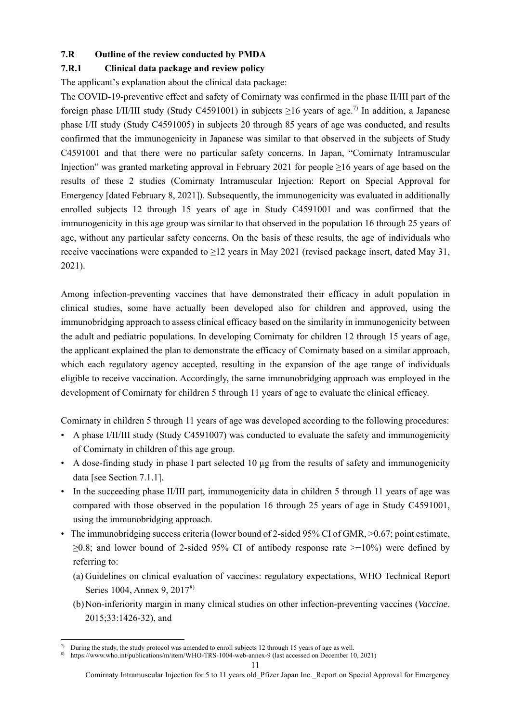### **7.R Outline of the review conducted by PMDA**

### **7.R.1 Clinical data package and review policy**

The applicant's explanation about the clinical data package:

The COVID-19-preventive effect and safety of Comirnaty was confirmed in the phase II/III part of the foreign phase I/II/III study (Study C4591001) in subjects  $\geq$ 16 years of age.<sup>7)</sup> In addition, a Japanese phase I/II study (Study C4591005) in subjects 20 through 85 years of age was conducted, and results confirmed that the immunogenicity in Japanese was similar to that observed in the subjects of Study C4591001 and that there were no particular safety concerns. In Japan, "Comirnaty Intramuscular Injection" was granted marketing approval in February 2021 for people ≥16 years of age based on the results of these 2 studies (Comirnaty Intramuscular Injection: Report on Special Approval for Emergency [dated February 8, 2021]). Subsequently, the immunogenicity was evaluated in additionally enrolled subjects 12 through 15 years of age in Study C4591001 and was confirmed that the immunogenicity in this age group was similar to that observed in the population 16 through 25 years of age, without any particular safety concerns. On the basis of these results, the age of individuals who receive vaccinations were expanded to  $\geq$ 12 years in May 2021 (revised package insert, dated May 31, 2021).

Among infection-preventing vaccines that have demonstrated their efficacy in adult population in clinical studies, some have actually been developed also for children and approved, using the immunobridging approach to assess clinical efficacy based on the similarity in immunogenicity between the adult and pediatric populations. In developing Comirnaty for children 12 through 15 years of age, the applicant explained the plan to demonstrate the efficacy of Comirnaty based on a similar approach, which each regulatory agency accepted, resulting in the expansion of the age range of individuals eligible to receive vaccination. Accordingly, the same immunobridging approach was employed in the development of Comirnaty for children 5 through 11 years of age to evaluate the clinical efficacy.

Comirnaty in children 5 through 11 years of age was developed according to the following procedures:

- A phase I/II/III study (Study C4591007) was conducted to evaluate the safety and immunogenicity of Comirnaty in children of this age group.
- A dose-finding study in phase I part selected 10 µg from the results of safety and immunogenicity data [see Section 7.1.1].
- In the succeeding phase II/III part, immunogenicity data in children 5 through 11 years of age was compared with those observed in the population 16 through 25 years of age in Study C4591001, using the immunobridging approach.
- The immunobridging success criteria (lower bound of 2-sided 95% CI of GMR, >0.67; point estimate, ≥0.8; and lower bound of 2-sided 95% CI of antibody response rate >−10%) were defined by referring to:
	- (a) Guidelines on clinical evaluation of vaccines: regulatory expectations, WHO Technical Report Series 1004, Annex 9, 2017<sup>8)</sup>
	- (b) Non-inferiority margin in many clinical studies on other infection-preventing vaccines (*Vaccine*. 2015;33:1426-32), and

<sup>-</sup> $\eta$  During the study, the study protocol was amended to enroll subjects 12 through 15 years of age as well.

<sup>8)</sup> https://www.who.int/publications/m/item/WHO-TRS-1004-web-annex-9 (last accessed on December 10, 2021)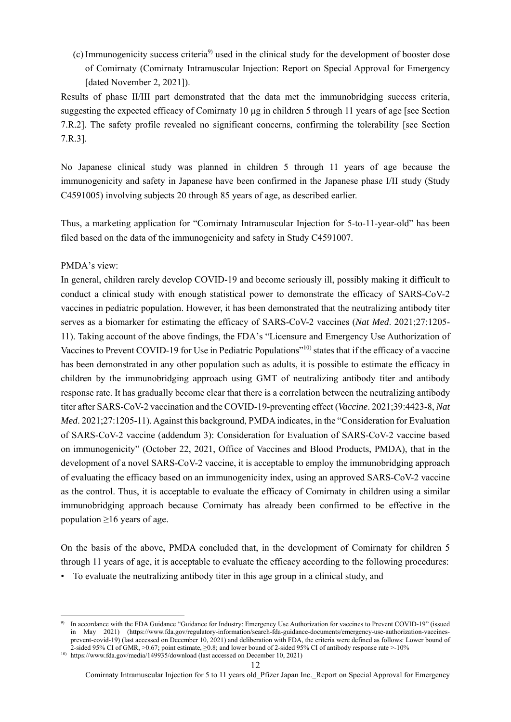(c) Immunogenicity success criteria9) used in the clinical study for the development of booster dose of Comirnaty (Comirnaty Intramuscular Injection: Report on Special Approval for Emergency [dated November 2, 2021]).

Results of phase II/III part demonstrated that the data met the immunobridging success criteria, suggesting the expected efficacy of Comirnaty 10 µg in children 5 through 11 years of age [see Section 7.R.2]. The safety profile revealed no significant concerns, confirming the tolerability [see Section 7.R.3].

No Japanese clinical study was planned in children 5 through 11 years of age because the immunogenicity and safety in Japanese have been confirmed in the Japanese phase I/II study (Study C4591005) involving subjects 20 through 85 years of age, as described earlier.

Thus, a marketing application for "Comirnaty Intramuscular Injection for 5-to-11-year-old" has been filed based on the data of the immunogenicity and safety in Study C4591007.

#### PMDA's view:

1

In general, children rarely develop COVID-19 and become seriously ill, possibly making it difficult to conduct a clinical study with enough statistical power to demonstrate the efficacy of SARS-CoV-2 vaccines in pediatric population. However, it has been demonstrated that the neutralizing antibody titer serves as a biomarker for estimating the efficacy of SARS-CoV-2 vaccines (*Nat Med*. 2021;27:1205- 11). Taking account of the above findings, the FDA's "Licensure and Emergency Use Authorization of Vaccines to Prevent COVID-19 for Use in Pediatric Populations<sup>"10)</sup> states that if the efficacy of a vaccine has been demonstrated in any other population such as adults, it is possible to estimate the efficacy in children by the immunobridging approach using GMT of neutralizing antibody titer and antibody response rate. It has gradually become clear that there is a correlation between the neutralizing antibody titer after SARS-CoV-2 vaccination and the COVID-19-preventing effect (*Vaccine*. 2021;39:4423-8, *Nat Med*. 2021;27:1205-11). Against this background, PMDA indicates, in the "Consideration for Evaluation of SARS-CoV-2 vaccine (addendum 3): Consideration for Evaluation of SARS-CoV-2 vaccine based on immunogenicity" (October 22, 2021, Office of Vaccines and Blood Products, PMDA), that in the development of a novel SARS-CoV-2 vaccine, it is acceptable to employ the immunobridging approach of evaluating the efficacy based on an immunogenicity index, using an approved SARS-CoV-2 vaccine as the control. Thus, it is acceptable to evaluate the efficacy of Comirnaty in children using a similar immunobridging approach because Comirnaty has already been confirmed to be effective in the population  $\geq 16$  years of age.

On the basis of the above, PMDA concluded that, in the development of Comirnaty for children 5 through 11 years of age, it is acceptable to evaluate the efficacy according to the following procedures:

• To evaluate the neutralizing antibody titer in this age group in a clinical study, and

<sup>9)</sup> In accordance with the FDA Guidance "Guidance for Industry: Emergency Use Authorization for vaccines to Prevent COVID-19" (issued in May 2021) (https://www.fda.gov/regulatory-information/search-fda-guidance-documents/emergency-use-authorization-vaccinesprevent-covid-19) (last accessed on December 10, 2021) and deliberation with FDA, the criteria were defined as follows: Lower bound of 2-sided 95% CI of GMR, >0.67; point estimate, ≥0.8; and lower bound of 2-sided 95% CI of antibody response rate >-10%

<sup>&</sup>lt;sup>10)</sup> https://www.fda.gov/media/149935/download (last accessed on December 10, 2021)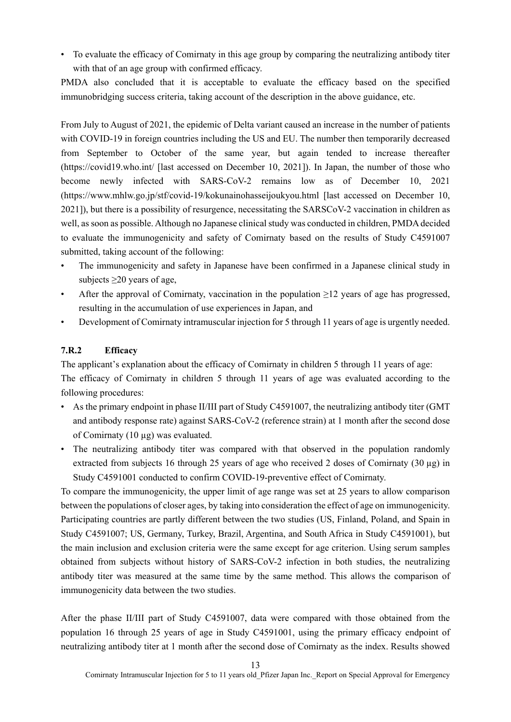• To evaluate the efficacy of Comirnaty in this age group by comparing the neutralizing antibody titer with that of an age group with confirmed efficacy.

PMDA also concluded that it is acceptable to evaluate the efficacy based on the specified immunobridging success criteria, taking account of the description in the above guidance, etc.

From July to August of 2021, the epidemic of Delta variant caused an increase in the number of patients with COVID-19 in foreign countries including the US and EU. The number then temporarily decreased from September to October of the same year, but again tended to increase thereafter (https://covid19.who.int/ [last accessed on December 10, 2021]). In Japan, the number of those who become newly infected with SARS-CoV-2 remains low as of December 10, 2021 (https://www.mhlw.go.jp/stf/covid-19/kokunainohasseijoukyou.html [last accessed on December 10, 2021]), but there is a possibility of resurgence, necessitating the SARSCoV-2 vaccination in children as well, as soon as possible. Although no Japanese clinical study was conducted in children, PMDA decided to evaluate the immunogenicity and safety of Comirnaty based on the results of Study C4591007 submitted, taking account of the following:

- The immunogenicity and safety in Japanese have been confirmed in a Japanese clinical study in subjects  $\geq$ 20 years of age,
- After the approval of Comirnaty, vaccination in the population  $\geq$ 12 years of age has progressed, resulting in the accumulation of use experiences in Japan, and
- Development of Comirnaty intramuscular injection for 5 through 11 years of age is urgently needed.

# **7.R.2 Efficacy**

The applicant's explanation about the efficacy of Comirnaty in children 5 through 11 years of age: The efficacy of Comirnaty in children 5 through 11 years of age was evaluated according to the following procedures:

- As the primary endpoint in phase II/III part of Study C4591007, the neutralizing antibody titer (GMT and antibody response rate) against SARS-CoV-2 (reference strain) at 1 month after the second dose of Comirnaty (10 µg) was evaluated.
- The neutralizing antibody titer was compared with that observed in the population randomly extracted from subjects 16 through 25 years of age who received 2 doses of Comirnaty  $(30 \mu g)$  in Study C4591001 conducted to confirm COVID-19-preventive effect of Comirnaty.

To compare the immunogenicity, the upper limit of age range was set at 25 years to allow comparison between the populations of closer ages, by taking into consideration the effect of age on immunogenicity. Participating countries are partly different between the two studies (US, Finland, Poland, and Spain in Study C4591007; US, Germany, Turkey, Brazil, Argentina, and South Africa in Study C4591001), but the main inclusion and exclusion criteria were the same except for age criterion. Using serum samples obtained from subjects without history of SARS-CoV-2 infection in both studies, the neutralizing antibody titer was measured at the same time by the same method. This allows the comparison of immunogenicity data between the two studies.

After the phase II/III part of Study C4591007, data were compared with those obtained from the population 16 through 25 years of age in Study C4591001, using the primary efficacy endpoint of neutralizing antibody titer at 1 month after the second dose of Comirnaty as the index. Results showed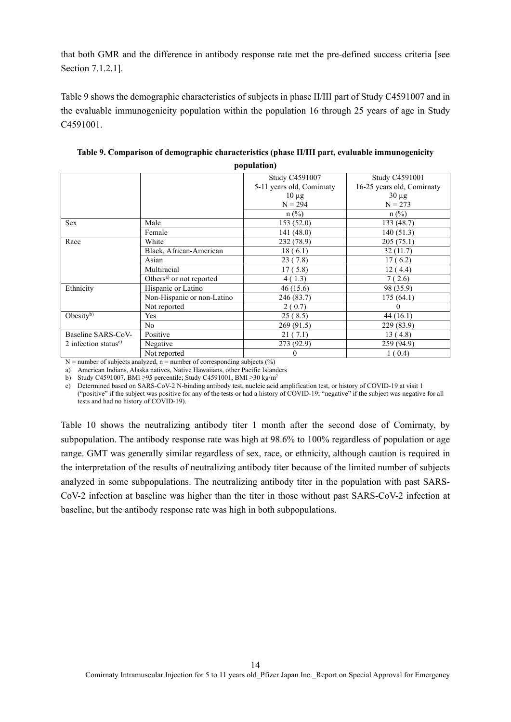that both GMR and the difference in antibody response rate met the pre-defined success criteria [see Section 7.1.2.1].

Table 9 shows the demographic characteristics of subjects in phase II/III part of Study C4591007 and in the evaluable immunogenicity population within the population 16 through 25 years of age in Study C4591001.

|                                  |                                      | Study C4591007            | Study C4591001             |
|----------------------------------|--------------------------------------|---------------------------|----------------------------|
|                                  |                                      | 5-11 years old, Comirnaty | 16-25 years old, Comirnaty |
|                                  |                                      | $10 \mu$ g                | $30 \mu g$                 |
|                                  |                                      | $N = 294$                 | $N = 273$                  |
|                                  |                                      | $n$ (%)                   | $n$ (%)                    |
| <b>Sex</b>                       | Male                                 | 153(52.0)                 | 133 (48.7)                 |
|                                  | Female                               | 141 (48.0)                | 140(51.3)                  |
| Race                             | White                                | 232 (78.9)                | 205(75.1)                  |
|                                  | Black, African-American              | 18(6.1)                   | 32(11.7)                   |
|                                  | Asian                                | 23(7.8)                   | 17(6.2)                    |
|                                  | Multiracial                          | 17(5.8)                   | 12(4.4)                    |
|                                  | Others <sup>a)</sup> or not reported | 4(1.3)                    | 7(2.6)                     |
| Ethnicity                        | Hispanic or Latino                   | 46(15.6)                  | 98 (35.9)                  |
|                                  | Non-Hispanic or non-Latino           | 246 (83.7)                | 175 (64.1)                 |
|                                  | Not reported                         | 2(0.7)                    | $\Omega$                   |
| Obesity $b$ )                    | Yes                                  | 25(8.5)                   | 44(16.1)                   |
|                                  | N <sub>o</sub>                       | 269 (91.5)                | 229 (83.9)                 |
| Baseline SARS-CoV-               | Positive                             | 21(7.1)                   | 13 (4.8)                   |
| 2 infection status <sup>c)</sup> | Negative                             | 273 (92.9)                | 259 (94.9)                 |
|                                  | Not reported                         | $\theta$                  | 1(0.4)                     |

**Table 9. Comparison of demographic characteristics (phase II/III part, evaluable immunogenicity population)** 

 $N =$  number of subjects analyzed, n = number of corresponding subjects (%)

a) American Indians, Alaska natives, Native Hawaiians, other Pacific Islanders

b) Study C4591007, BMI ≥95 percentile; Study C4591001, BMI ≥30 kg/m2

c) Determined based on SARS-CoV-2 N-binding antibody test, nucleic acid amplification test, or history of COVID-19 at visit 1

("positive" if the subject was positive for any of the tests or had a history of COVID-19; "negative" if the subject was negative for all tests and had no history of COVID-19).

Table 10 shows the neutralizing antibody titer 1 month after the second dose of Comirnaty, by subpopulation. The antibody response rate was high at 98.6% to 100% regardless of population or age range. GMT was generally similar regardless of sex, race, or ethnicity, although caution is required in the interpretation of the results of neutralizing antibody titer because of the limited number of subjects analyzed in some subpopulations. The neutralizing antibody titer in the population with past SARS-CoV-2 infection at baseline was higher than the titer in those without past SARS-CoV-2 infection at baseline, but the antibody response rate was high in both subpopulations.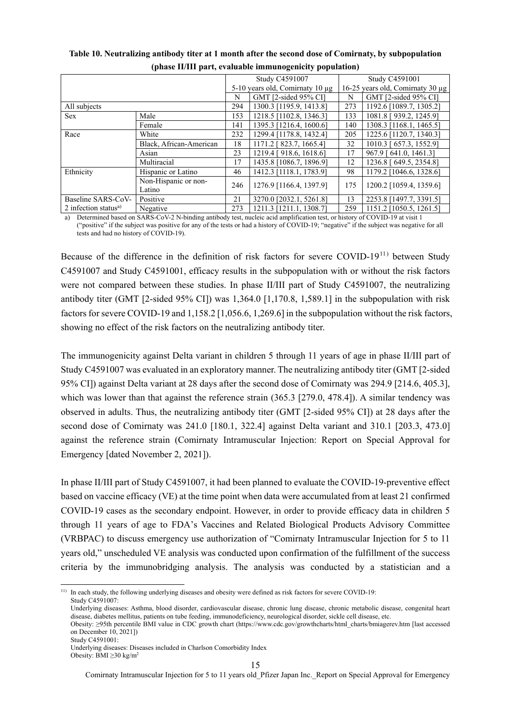| триам тити рага, стандард иншинодентску роранатому |                         |                                 |                         |                                  |                         |
|----------------------------------------------------|-------------------------|---------------------------------|-------------------------|----------------------------------|-------------------------|
|                                                    |                         | Study C4591007                  |                         | Study C4591001                   |                         |
|                                                    |                         | 5-10 years old, Comirnaty 10 µg |                         | 16-25 years old, Comirnaty 30 µg |                         |
|                                                    |                         | N                               | GMT [2-sided 95% CI]    | N                                | GMT [2-sided 95% CI]    |
| All subjects                                       |                         | 294                             | 1300.3 [1195.9, 1413.8] | 273                              | 1192.6 [1089.7, 1305.2] |
| <b>Sex</b>                                         | Male                    | 153                             | 1218.5 [1102.8, 1346.3] | 133                              | 1081.8 [939.2, 1245.9]  |
|                                                    | Female                  | 141                             | 1395.3 [1216.4, 1600.6] | 140                              | 1308.3 [1168.1, 1465.5] |
| Race                                               | White                   | 232                             | 1299.4 [1178.8, 1432.4] | 205                              | 1225.6 [1120.7, 1340.3] |
|                                                    | Black, African-American | 18                              | 1171.2 [ 823.7, 1665.4] | 32                               | 1010.3 [ 657.3, 1552.9] |
|                                                    | Asian                   | 23                              | 1219.4 [918.6, 1618.6]  | 17                               | 967.9 [641.0, 1461.3]   |
|                                                    | Multiracial             | 17                              | 1435.8 [1086.7, 1896.9] | 12                               | 1236.8 [ 649.5, 2354.8] |
| Ethnicity                                          | Hispanic or Latino      | 46                              | 1412.3 [1118.1, 1783.9] | 98                               | 1179.2 [1046.6, 1328.6] |
|                                                    | Non-Hispanic or non-    | 246                             | 1276.9 [1166.4, 1397.9] | 175                              | 1200.2 [1059.4, 1359.6] |
|                                                    | Latino                  |                                 |                         |                                  |                         |
| Baseline SARS-CoV-                                 | Positive                | 21                              | 3270.0 [2032.1, 5261.8] | 13                               | 2253.8 [1497.7, 3391.5] |
| 2 infection status <sup>a)</sup>                   | Negative                | 273                             | 1211.3 [1211.1, 1308.7] | 259                              | 1151.2 [1050.5, 1261.5] |

#### **Table 10. Neutralizing antibody titer at 1 month after the second dose of Comirnaty, by subpopulation (phase II/III part, evaluable immunogenicity population)**

a) Determined based on SARS-CoV-2 N-binding antibody test, nucleic acid amplification test, or history of COVID-19 at visit 1 ("positive" if the subject was positive for any of the tests or had a history of COVID-19; "negative" if the subject was negative for all tests and had no history of COVID-19).

Because of the difference in the definition of risk factors for severe COVID-19<sup>11)</sup> between Study C4591007 and Study C4591001, efficacy results in the subpopulation with or without the risk factors were not compared between these studies. In phase II/III part of Study C4591007, the neutralizing antibody titer (GMT [2-sided 95% CI]) was 1,364.0 [1,170.8, 1,589.1] in the subpopulation with risk factors for severe COVID-19 and 1,158.2 [1,056.6, 1,269.6] in the subpopulation without the risk factors, showing no effect of the risk factors on the neutralizing antibody titer.

The immunogenicity against Delta variant in children 5 through 11 years of age in phase II/III part of Study C4591007 was evaluated in an exploratory manner. The neutralizing antibody titer (GMT [2-sided 95% CI]) against Delta variant at 28 days after the second dose of Comirnaty was 294.9 [214.6, 405.3], which was lower than that against the reference strain (365.3 [279.0, 478.4]). A similar tendency was observed in adults. Thus, the neutralizing antibody titer (GMT [2-sided 95% CI]) at 28 days after the second dose of Comirnaty was 241.0 [180.1, 322.4] against Delta variant and 310.1 [203.3, 473.0] against the reference strain (Comirnaty Intramuscular Injection: Report on Special Approval for Emergency [dated November 2, 2021]).

In phase II/III part of Study C4591007, it had been planned to evaluate the COVID-19-preventive effect based on vaccine efficacy (VE) at the time point when data were accumulated from at least 21 confirmed COVID-19 cases as the secondary endpoint. However, in order to provide efficacy data in children 5 through 11 years of age to FDA's Vaccines and Related Biological Products Advisory Committee (VRBPAC) to discuss emergency use authorization of "Comirnaty Intramuscular Injection for 5 to 11 years old," unscheduled VE analysis was conducted upon confirmation of the fulfillment of the success criteria by the immunobridging analysis. The analysis was conducted by a statistician and a

Study C4591001:

Comirnaty Intramuscular Injection for 5 to 11 years old\_Pfizer Japan Inc.\_Report on Special Approval for Emergency

<sup>1</sup> <sup>11)</sup> In each study, the following underlying diseases and obesity were defined as risk factors for severe COVID-19: Study C4591007:

Underlying diseases: Asthma, blood disorder, cardiovascular disease, chronic lung disease, chronic metabolic disease, congenital heart disease, diabetes mellitus, patients on tube feeding, immunodeficiency, neurological disorder, sickle cell disease, etc.

Obesity: ≥95th percentile BMI value in CDC growth chart (https://www.cdc.gov/growthcharts/html\_charts/bmiagerev.htm [last accessed on December 10, 2021])

Underlying diseases: Diseases included in Charlson Comorbidity Index Obesity: BMI  $>$ 30 kg/m<sup>2</sup>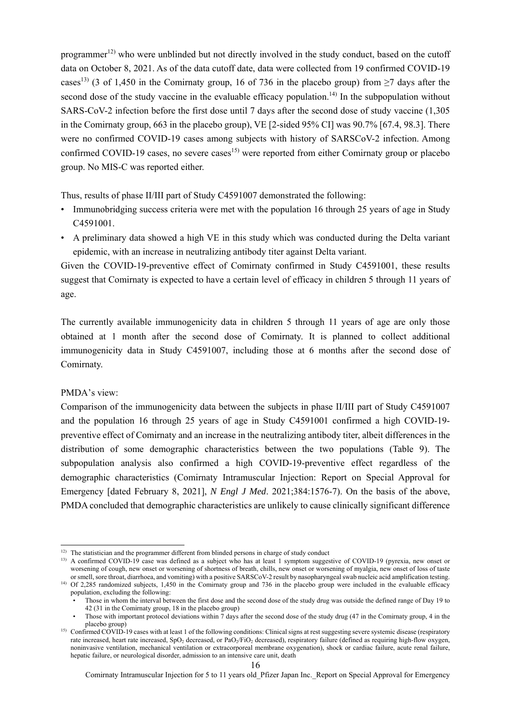programmer<sup>12)</sup> who were unblinded but not directly involved in the study conduct, based on the cutoff data on October 8, 2021. As of the data cutoff date, data were collected from 19 confirmed COVID-19 cases<sup>13)</sup> (3 of 1,450 in the Comirnaty group, 16 of 736 in the placebo group) from  $\geq$ 7 days after the second dose of the study vaccine in the evaluable efficacy population.<sup>14)</sup> In the subpopulation without SARS-CoV-2 infection before the first dose until 7 days after the second dose of study vaccine (1,305 in the Comirnaty group, 663 in the placebo group), VE [2-sided 95% CI] was 90.7% [67.4, 98.3]. There were no confirmed COVID-19 cases among subjects with history of SARSCoV-2 infection. Among confirmed COVID-19 cases, no severe cases<sup>15)</sup> were reported from either Comirnaty group or placebo group. No MIS-C was reported either.

Thus, results of phase II/III part of Study C4591007 demonstrated the following:

- Immunobridging success criteria were met with the population 16 through 25 years of age in Study C4591001.
- A preliminary data showed a high VE in this study which was conducted during the Delta variant epidemic, with an increase in neutralizing antibody titer against Delta variant.

Given the COVID-19-preventive effect of Comirnaty confirmed in Study C4591001, these results suggest that Comirnaty is expected to have a certain level of efficacy in children 5 through 11 years of age.

The currently available immunogenicity data in children 5 through 11 years of age are only those obtained at 1 month after the second dose of Comirnaty. It is planned to collect additional immunogenicity data in Study C4591007, including those at 6 months after the second dose of Comirnaty.

#### PMDA's view:

Comparison of the immunogenicity data between the subjects in phase II/III part of Study C4591007 and the population 16 through 25 years of age in Study C4591001 confirmed a high COVID-19 preventive effect of Comirnaty and an increase in the neutralizing antibody titer, albeit differences in the distribution of some demographic characteristics between the two populations (Table 9). The subpopulation analysis also confirmed a high COVID-19-preventive effect regardless of the demographic characteristics (Comirnaty Intramuscular Injection: Report on Special Approval for Emergency [dated February 8, 2021], *N Engl J Med*. 2021;384:1576-7). On the basis of the above, PMDA concluded that demographic characteristics are unlikely to cause clinically significant difference

<sup>1</sup>  $12)$  The statistician and the programmer different from blinded persons in charge of study conduct

<sup>&</sup>lt;sup>13)</sup> A confirmed COVID-19 case was defined as a subject who has at least 1 symptom suggestive of COVID-19 (pyrexia, new onset or worsening of cough, new onset or worsening of shortness of breath, chills, new onset or worsening of myalgia, new onset of loss of taste or smell, sore throat, diarrhoea, and vomiting) with a positive SARSCoV-2 result by nasopharyngeal swab nucleic acid amplification testing. <sup>14)</sup> Of 2,285 randomized subjects, 1,450 in the Comirnaty group and 736 in the placebo group were included in the evaluable efficacy population, excluding the following:

<sup>•</sup> Those in whom the interval between the first dose and the second dose of the study drug was outside the defined range of Day 19 to 42 (31 in the Comirnaty group, 18 in the placebo group)

<sup>•</sup> Those with important protocol deviations within 7 days after the second dose of the study drug (47 in the Comirnaty group, 4 in the placebo group)

<sup>&</sup>lt;sup>15)</sup> Confirmed COVID-19 cases with at least 1 of the following conditions: Clinical signs at rest suggesting severe systemic disease (respiratory rate increased, heart rate increased, SpO<sub>2</sub> decreased, or PaO<sub>2</sub>/FiO<sub>2</sub> decreased), respiratory failure (defined as requiring high-flow oxygen, noninvasive ventilation, mechanical ventilation or extracorporeal membrane oxygenation), shock or cardiac failure, acute renal failure, hepatic failure, or neurological disorder, admission to an intensive care unit, death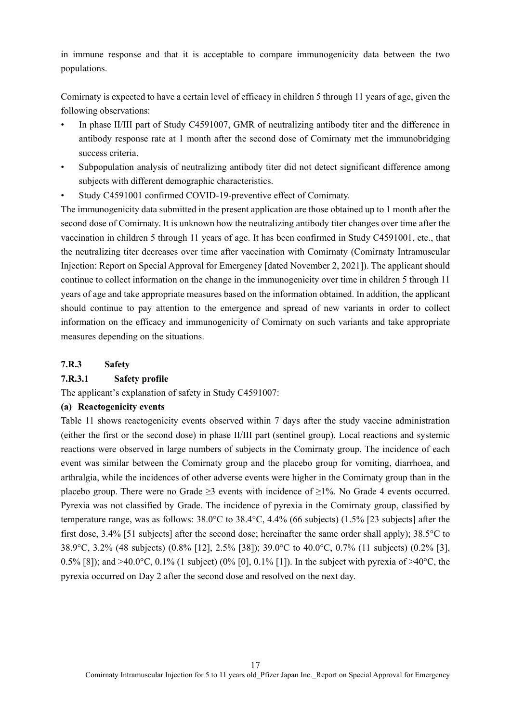in immune response and that it is acceptable to compare immunogenicity data between the two populations.

Comirnaty is expected to have a certain level of efficacy in children 5 through 11 years of age, given the following observations:

- In phase II/III part of Study C4591007, GMR of neutralizing antibody titer and the difference in antibody response rate at 1 month after the second dose of Comirnaty met the immunobridging success criteria.
- Subpopulation analysis of neutralizing antibody titer did not detect significant difference among subjects with different demographic characteristics.
- Study C4591001 confirmed COVID-19-preventive effect of Comirnaty.

The immunogenicity data submitted in the present application are those obtained up to 1 month after the second dose of Comirnaty. It is unknown how the neutralizing antibody titer changes over time after the vaccination in children 5 through 11 years of age. It has been confirmed in Study C4591001, etc., that the neutralizing titer decreases over time after vaccination with Comirnaty (Comirnaty Intramuscular Injection: Report on Special Approval for Emergency [dated November 2, 2021]). The applicant should continue to collect information on the change in the immunogenicity over time in children 5 through 11 years of age and take appropriate measures based on the information obtained. In addition, the applicant should continue to pay attention to the emergence and spread of new variants in order to collect information on the efficacy and immunogenicity of Comirnaty on such variants and take appropriate measures depending on the situations.

#### **7.R.3 Safety**

#### **7.R.3.1 Safety profile**

The applicant's explanation of safety in Study C4591007:

#### **(a) Reactogenicity events**

Table 11 shows reactogenicity events observed within 7 days after the study vaccine administration (either the first or the second dose) in phase II/III part (sentinel group). Local reactions and systemic reactions were observed in large numbers of subjects in the Comirnaty group. The incidence of each event was similar between the Comirnaty group and the placebo group for vomiting, diarrhoea, and arthralgia, while the incidences of other adverse events were higher in the Comirnaty group than in the placebo group. There were no Grade  $\geq$ 3 events with incidence of  $\geq$ 1%. No Grade 4 events occurred. Pyrexia was not classified by Grade. The incidence of pyrexia in the Comirnaty group, classified by temperature range, was as follows: 38.0°C to 38.4°C, 4.4% (66 subjects) (1.5% [23 subjects] after the first dose, 3.4% [51 subjects] after the second dose; hereinafter the same order shall apply); 38.5°C to 38.9°C, 3.2% (48 subjects) (0.8% [12], 2.5% [38]); 39.0°C to 40.0°C, 0.7% (11 subjects) (0.2% [3], 0.5% [8]); and >40.0°C, 0.1% (1 subject) (0% [0], 0.1% [1]). In the subject with pyrexia of >40°C, the pyrexia occurred on Day 2 after the second dose and resolved on the next day.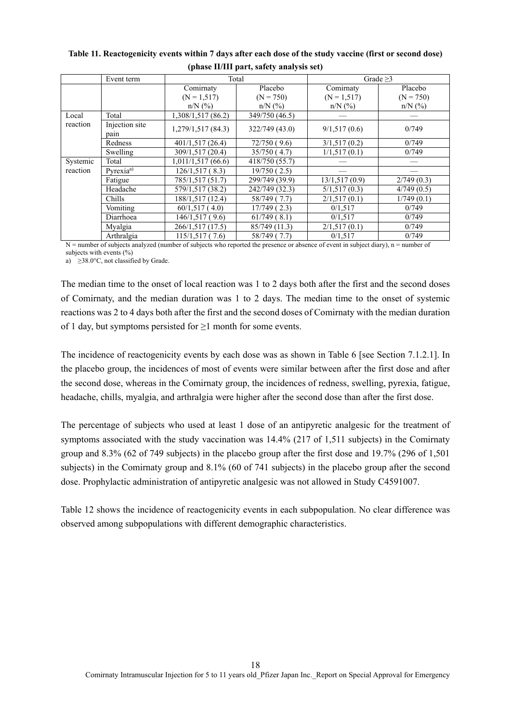|          |                        | $\cdot$ .          |                        |                |                          |
|----------|------------------------|--------------------|------------------------|----------------|--------------------------|
|          | Event term             |                    | Total                  |                | Grade $\geq$ 3           |
|          |                        | Comirnaty          | Placebo                | Comirnaty      | Placebo                  |
|          |                        | $(N = 1, 517)$     | $(N = 750)$            | $(N = 1, 517)$ | $(N = 750)$              |
|          |                        | $n/N$ (%)          | $n/N$ (%)              | $n/N$ (%)      | $n/N$ (%)                |
| Local    | Total                  | 1,308/1,517 (86.2) | 349/750 (46.5)         |                |                          |
| reaction | Injection site<br>pain | 1,279/1,517(84.3)  | 322/749 (43.0)         | 9/1,517(0.6)   | 0/749                    |
|          | Redness                | 401/1,517 (26.4)   | 72/750(9.6)            | 3/1,517(0.2)   | 0/749                    |
|          | Swelling               | 309/1,517 (20.4)   | 35/750(4.7)            | 1/1,517(0.1)   | 0/749                    |
| Systemic | Total                  | 1,011/1,517(66.6)  | 418/750 (55.7)         |                |                          |
| reaction | Pyrexia <sup>a)</sup>  | 126/1,517(8.3)     | 19/750(2.5)            |                |                          |
|          | Fatigue                | 785/1,517 (51.7)   | 299/749 (39.9)         | 13/1,517(0.9)  | 2/749(0.3)               |
|          | Headache               | 579/1,517 (38.2)   | 242/749 (32.3)         | 5/1,517(0.3)   | 4/749(0.5)               |
|          | Chills                 | 188/1,517 (12.4)   | 58/749 (7.7)           | 2/1,517(0.1)   | $\overline{1/749}$ (0.1) |
|          | Vomiting               | 60/1,517(4.0)      | 17/749(2.3)            | 0/1,517        | 0/749                    |
|          | Diarrhoea              | 146/1,517 (9.6)    | 61/749(8.1)            | 0/1,517        | 0/749                    |
|          | Myalgia                | 266/1,517 (17.5)   | 85/749 (11.3)          | 2/1,517(0.1)   | 0/749                    |
|          | Arthralgia<br>$\sim$   | 115/1,517(7.6)     | 58/749 (7.7)<br>$\sim$ | 0/1,517        | 0/749                    |

**Table 11. Reactogenicity events within 7 days after each dose of the study vaccine (first or second dose) (phase II/III part, safety analysis set)** 

 $N =$  number of subjects analyzed (number of subjects who reported the presence or absence of event in subject diary),  $n =$  number of

subjects with events  $(\% )$ a)  $\geq$ 38.0°C, not classified by Grade.

The median time to the onset of local reaction was 1 to 2 days both after the first and the second doses of Comirnaty, and the median duration was 1 to 2 days. The median time to the onset of systemic reactions was 2 to 4 days both after the first and the second doses of Comirnaty with the median duration of 1 day, but symptoms persisted for ≥1 month for some events.

The incidence of reactogenicity events by each dose was as shown in Table 6 [see Section 7.1.2.1]. In the placebo group, the incidences of most of events were similar between after the first dose and after the second dose, whereas in the Comirnaty group, the incidences of redness, swelling, pyrexia, fatigue, headache, chills, myalgia, and arthralgia were higher after the second dose than after the first dose.

The percentage of subjects who used at least 1 dose of an antipyretic analgesic for the treatment of symptoms associated with the study vaccination was 14.4% (217 of 1,511 subjects) in the Comirnaty group and 8.3% (62 of 749 subjects) in the placebo group after the first dose and 19.7% (296 of 1,501 subjects) in the Comirnaty group and 8.1% (60 of 741 subjects) in the placebo group after the second dose. Prophylactic administration of antipyretic analgesic was not allowed in Study C4591007.

Table 12 shows the incidence of reactogenicity events in each subpopulation. No clear difference was observed among subpopulations with different demographic characteristics.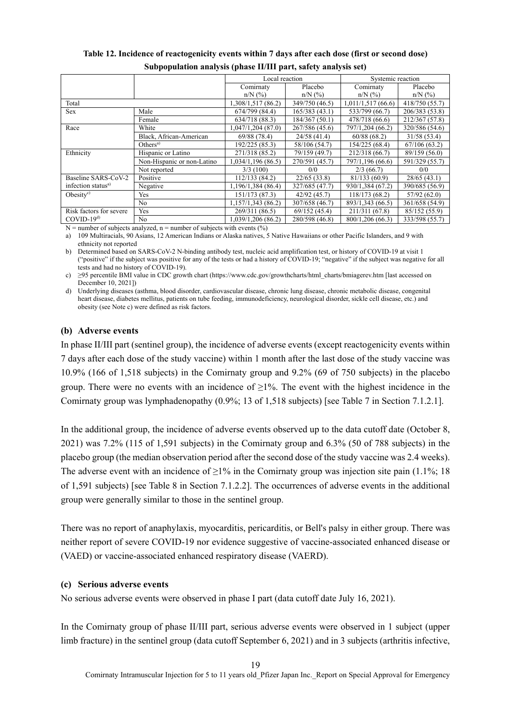|                                |                            | ----- - --- --- p--- -, ------;, ---- - - - -, |                |                   |                            |  |
|--------------------------------|----------------------------|------------------------------------------------|----------------|-------------------|----------------------------|--|
|                                |                            | Local reaction                                 |                | Systemic reaction |                            |  |
|                                |                            | Comirnaty                                      | Placebo        | Comirnaty         | Placebo                    |  |
|                                |                            | $n/N$ (%)                                      | $n/N$ (%)      | $n/N$ (%)         | $n/N$ (%)                  |  |
| Total                          |                            | 1,308/1,517 (86.2)                             | 349/750 (46.5) | 1,011/1,517(66.6) | 418/750 (55.7)             |  |
| <b>Sex</b>                     | Male                       | 674/799 (84.4)                                 | 165/383 (43.1) | 533/799 (66.7)    | 206/383 (53.8)             |  |
|                                | Female                     | 634/718 (88.3)                                 | 184/367 (50.1) | 478/718 (66.6)    | 212/367 (57.8)             |  |
| Race                           | White                      | 1,047/1,204 (87.0)                             | 267/586 (45.6) | 797/1,204 (66.2)  | 320/586 (54.6)             |  |
|                                | Black, African-American    | 69/88 (78.4)                                   | 24/58(41.4)    | 60/88(68.2)       | 31/58 (53.4)               |  |
|                                | Others <sup>a</sup>        | 192/225 (85.3)                                 | 58/106 (54.7)  | 154/225 (68.4)    | 67/106(63.2)               |  |
| Ethnicity                      | Hispanic or Latino         | 271/318 (85.2)                                 | 79/159 (49.7)  | 212/318 (66.7)    | 89/159 (56.0)              |  |
|                                | Non-Hispanic or non-Latino | 1,034/1,196 (86.5)                             | 270/591 (45.7) | 797/1,196 (66.6)  | 591/329 (55.7)             |  |
|                                | Not reported               | 3/3(100)                                       | 0/0            | 2/3(66.7)         | 0/0                        |  |
| Baseline SARS-CoV-2            | Positive                   | 112/133 (84.2)                                 | 22/65(33.8)    | 81/133 (60.9)     | 28/65(43.1)                |  |
| infection status <sup>a)</sup> | Negative                   | 1,196/1,384 (86.4)                             | 327/685 (47.7) | 930/1,384 (67.2)  | 390/685 (56.9)             |  |
| Obesity $e$                    | Yes                        | 151/173 (87.3)                                 | 42/92 (45.7)   | 118/173 (68.2)    | 57/92 (62.0)               |  |
|                                | No                         | 1,157/1,343 (86.2)                             | 307/658 (46.7) | 893/1,343 (66.5)  | 361/658 (54.9)             |  |
| Risk factors for severe        | Yes                        | 269/311 (86.5)                                 | 69/152 (45.4)  | 211/311 (67.8)    | 85/152 (55.9)              |  |
| $COVID-19d$                    | No                         | 1,039/1,206 (86.2)                             | 280/598 (46.8) | 800/1,206 (66.3)  | $\overline{33}3/598(55.7)$ |  |

**Table 12. Incidence of reactogenicity events within 7 days after each dose (first or second dose) Subpopulation analysis (phase II/III part, safety analysis set)**

 $N =$  number of subjects analyzed, n = number of subjects with events (%)

a) 109 Multiracials, 90 Asians, 12 American Indians or Alaska natives, 5 Native Hawaiians or other Pacific Islanders, and 9 with ethnicity not reported

b) Determined based on SARS-CoV-2 N-binding antibody test, nucleic acid amplification test, or history of COVID-19 at visit 1 ("positive" if the subject was positive for any of the tests or had a history of COVID-19; "negative" if the subject was negative for all tests and had no history of COVID-19).

c) ≥95 percentile BMI value in CDC growth chart (https://www.cdc.gov/growthcharts/html\_charts/bmiagerev.htm [last accessed on December 10, 2021])

d) Underlying diseases (asthma, blood disorder, cardiovascular disease, chronic lung disease, chronic metabolic disease, congenital heart disease, diabetes mellitus, patients on tube feeding, immunodeficiency, neurological disorder, sickle cell disease, etc.) and obesity (see Note c) were defined as risk factors.

# **(b) Adverse events**

In phase II/III part (sentinel group), the incidence of adverse events (except reactogenicity events within 7 days after each dose of the study vaccine) within 1 month after the last dose of the study vaccine was 10.9% (166 of 1,518 subjects) in the Comirnaty group and 9.2% (69 of 750 subjects) in the placebo group. There were no events with an incidence of  $\geq 1\%$ . The event with the highest incidence in the Comirnaty group was lymphadenopathy (0.9%; 13 of 1,518 subjects) [see Table 7 in Section 7.1.2.1].

In the additional group, the incidence of adverse events observed up to the data cutoff date (October 8, 2021) was 7.2% (115 of 1,591 subjects) in the Comirnaty group and 6.3% (50 of 788 subjects) in the placebo group (the median observation period after the second dose of the study vaccine was 2.4 weeks). The adverse event with an incidence of  $\geq$ 1% in the Comirnaty group was injection site pain (1.1%; 18 of 1,591 subjects) [see Table 8 in Section 7.1.2.2]. The occurrences of adverse events in the additional group were generally similar to those in the sentinel group.

There was no report of anaphylaxis, myocarditis, pericarditis, or Bell's palsy in either group. There was neither report of severe COVID-19 nor evidence suggestive of vaccine-associated enhanced disease or (VAED) or vaccine-associated enhanced respiratory disease (VAERD).

#### **(c) Serious adverse events**

No serious adverse events were observed in phase I part (data cutoff date July 16, 2021).

In the Comirnaty group of phase II/III part, serious adverse events were observed in 1 subject (upper limb fracture) in the sentinel group (data cutoff September 6, 2021) and in 3 subjects (arthritis infective,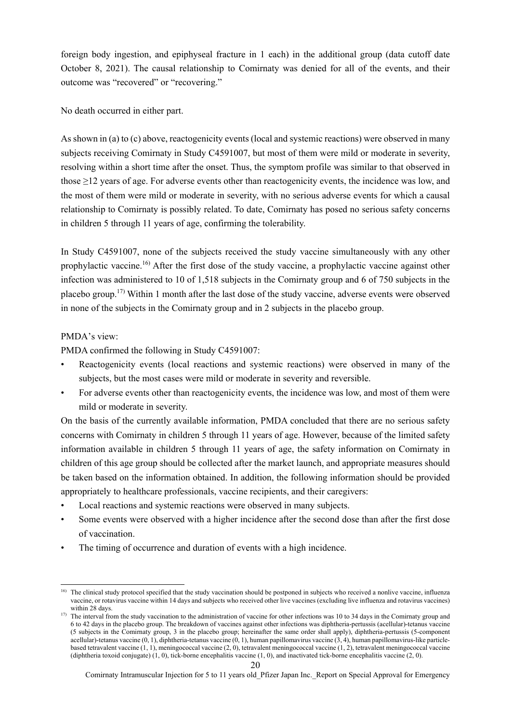foreign body ingestion, and epiphyseal fracture in 1 each) in the additional group (data cutoff date October 8, 2021). The causal relationship to Comirnaty was denied for all of the events, and their outcome was "recovered" or "recovering."

No death occurred in either part.

As shown in (a) to (c) above, reactogenicity events (local and systemic reactions) were observed in many subjects receiving Comirnaty in Study C4591007, but most of them were mild or moderate in severity, resolving within a short time after the onset. Thus, the symptom profile was similar to that observed in those ≥12 years of age. For adverse events other than reactogenicity events, the incidence was low, and the most of them were mild or moderate in severity, with no serious adverse events for which a causal relationship to Comirnaty is possibly related. To date, Comirnaty has posed no serious safety concerns in children 5 through 11 years of age, confirming the tolerability.

In Study C4591007, none of the subjects received the study vaccine simultaneously with any other prophylactic vaccine.<sup>16)</sup> After the first dose of the study vaccine, a prophylactic vaccine against other infection was administered to 10 of 1,518 subjects in the Comirnaty group and 6 of 750 subjects in the placebo group.17) Within 1 month after the last dose of the study vaccine, adverse events were observed in none of the subjects in the Comirnaty group and in 2 subjects in the placebo group.

### PMDA's view:

PMDA confirmed the following in Study C4591007:

- Reactogenicity events (local reactions and systemic reactions) were observed in many of the subjects, but the most cases were mild or moderate in severity and reversible.
- For adverse events other than reactogenicity events, the incidence was low, and most of them were mild or moderate in severity.

On the basis of the currently available information, PMDA concluded that there are no serious safety concerns with Comirnaty in children 5 through 11 years of age. However, because of the limited safety information available in children 5 through 11 years of age, the safety information on Comirnaty in children of this age group should be collected after the market launch, and appropriate measures should be taken based on the information obtained. In addition, the following information should be provided appropriately to healthcare professionals, vaccine recipients, and their caregivers:

- Local reactions and systemic reactions were observed in many subjects.
- Some events were observed with a higher incidence after the second dose than after the first dose of vaccination.
- The timing of occurrence and duration of events with a high incidence.

<sup>1</sup> <sup>16)</sup> The clinical study protocol specified that the study vaccination should be postponed in subjects who received a nonlive vaccine, influenza vaccine, or rotavirus vaccine within 14 days and subjects who received other live vaccines (excluding live influenza and rotavirus vaccines) within 28 days.

<sup>&</sup>lt;sup>17)</sup> The interval from the study vaccination to the administration of vaccine for other infections was 10 to 34 days in the Comirnaty group and 6 to 42 days in the placebo group. The breakdown of vaccines against other infections was diphtheria-pertussis (acellular)-tetanus vaccine (5 subjects in the Comirnaty group, 3 in the placebo group; hereinafter the same order shall apply), diphtheria-pertussis (5-component acellular)-tetanus vaccine (0, 1), diphtheria-tetanus vaccine (0, 1), human papillomavirus vaccine (3, 4), human papillomavirus-like particlebased tetravalent vaccine (1, 1), meningococcal vaccine (2, 0), tetravalent meningococcal vaccine (1, 2), tetravalent meningococcal vaccine (diphtheria toxoid conjugate) (1, 0), tick-borne encephalitis vaccine (1, 0), and inactivated tick-borne encephalitis vaccine (2, 0).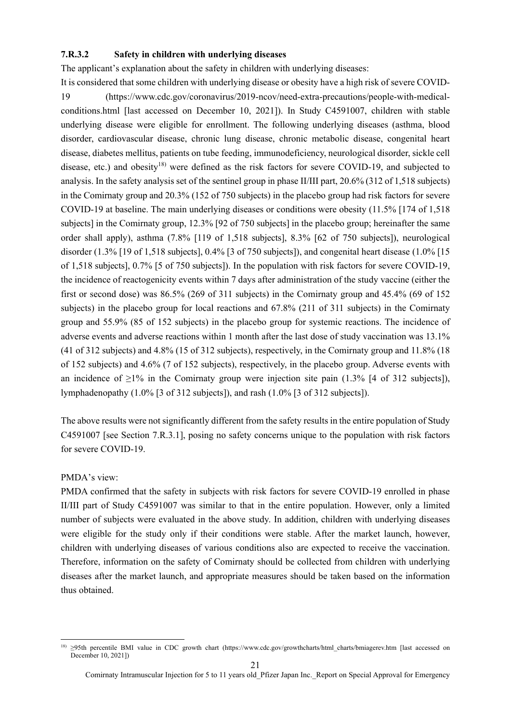#### **7.R.3.2 Safety in children with underlying diseases**

The applicant's explanation about the safety in children with underlying diseases:

It is considered that some children with underlying disease or obesity have a high risk of severe COVID-19 (https://www.cdc.gov/coronavirus/2019-ncov/need-extra-precautions/people-with-medicalconditions.html [last accessed on December 10, 2021]). In Study C4591007, children with stable underlying disease were eligible for enrollment. The following underlying diseases (asthma, blood disorder, cardiovascular disease, chronic lung disease, chronic metabolic disease, congenital heart disease, diabetes mellitus, patients on tube feeding, immunodeficiency, neurological disorder, sickle cell disease, etc.) and obesity<sup>18)</sup> were defined as the risk factors for severe COVID-19, and subjected to analysis. In the safety analysis set of the sentinel group in phase II/III part, 20.6% (312 of 1,518 subjects) in the Comirnaty group and 20.3% (152 of 750 subjects) in the placebo group had risk factors for severe COVID-19 at baseline. The main underlying diseases or conditions were obesity (11.5% [174 of 1,518 subjects] in the Comirnaty group, 12.3% [92 of 750 subjects] in the placebo group; hereinafter the same order shall apply), asthma (7.8% [119 of 1,518 subjects], 8.3% [62 of 750 subjects]), neurological disorder (1.3% [19 of 1,518 subjects], 0.4% [3 of 750 subjects]), and congenital heart disease (1.0% [15 of 1,518 subjects], 0.7% [5 of 750 subjects]). In the population with risk factors for severe COVID-19, the incidence of reactogenicity events within 7 days after administration of the study vaccine (either the first or second dose) was 86.5% (269 of 311 subjects) in the Comirnaty group and 45.4% (69 of 152 subjects) in the placebo group for local reactions and 67.8% (211 of 311 subjects) in the Comirnaty group and 55.9% (85 of 152 subjects) in the placebo group for systemic reactions. The incidence of adverse events and adverse reactions within 1 month after the last dose of study vaccination was 13.1% (41 of 312 subjects) and 4.8% (15 of 312 subjects), respectively, in the Comirnaty group and 11.8% (18 of 152 subjects) and 4.6% (7 of 152 subjects), respectively, in the placebo group. Adverse events with an incidence of  $\geq$ 1% in the Comirnaty group were injection site pain (1.3% [4 of 312 subjects]), lymphadenopathy (1.0% [3 of 312 subjects]), and rash (1.0% [3 of 312 subjects]).

The above results were not significantly different from the safety results in the entire population of Study C4591007 [see Section 7.R.3.1], posing no safety concerns unique to the population with risk factors for severe COVID-19.

#### PMDA's view:

PMDA confirmed that the safety in subjects with risk factors for severe COVID-19 enrolled in phase II/III part of Study C4591007 was similar to that in the entire population. However, only a limited number of subjects were evaluated in the above study. In addition, children with underlying diseases were eligible for the study only if their conditions were stable. After the market launch, however, children with underlying diseases of various conditions also are expected to receive the vaccination. Therefore, information on the safety of Comirnaty should be collected from children with underlying diseases after the market launch, and appropriate measures should be taken based on the information thus obtained.

<sup>-</sup><sup>18)</sup> ≥95th percentile BMI value in CDC growth chart (https://www.cdc.gov/growthcharts/html charts/bmiagerev.htm [last accessed on December 10, 2021<sup>1</sup>)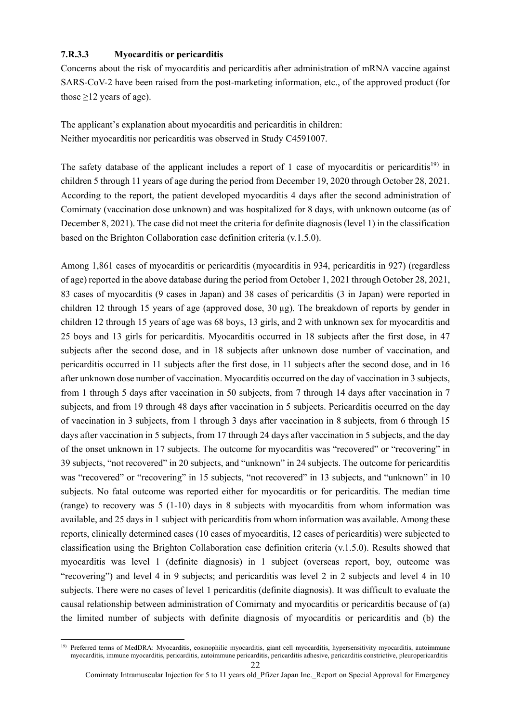#### **7.R.3.3 Myocarditis or pericarditis**

Concerns about the risk of myocarditis and pericarditis after administration of mRNA vaccine against SARS-CoV-2 have been raised from the post-marketing information, etc., of the approved product (for those  $\geq$ 12 years of age).

The applicant's explanation about myocarditis and pericarditis in children: Neither myocarditis nor pericarditis was observed in Study C4591007.

The safety database of the applicant includes a report of 1 case of myocarditis or pericarditis<sup>19)</sup> in children 5 through 11 years of age during the period from December 19, 2020 through October 28, 2021. According to the report, the patient developed myocarditis 4 days after the second administration of Comirnaty (vaccination dose unknown) and was hospitalized for 8 days, with unknown outcome (as of December 8, 2021). The case did not meet the criteria for definite diagnosis (level 1) in the classification based on the Brighton Collaboration case definition criteria (v.1.5.0).

Among 1,861 cases of myocarditis or pericarditis (myocarditis in 934, pericarditis in 927) (regardless of age) reported in the above database during the period from October 1, 2021 through October 28, 2021, 83 cases of myocarditis (9 cases in Japan) and 38 cases of pericarditis (3 in Japan) were reported in children 12 through 15 years of age (approved dose, 30 µg). The breakdown of reports by gender in children 12 through 15 years of age was 68 boys, 13 girls, and 2 with unknown sex for myocarditis and 25 boys and 13 girls for pericarditis. Myocarditis occurred in 18 subjects after the first dose, in 47 subjects after the second dose, and in 18 subjects after unknown dose number of vaccination, and pericarditis occurred in 11 subjects after the first dose, in 11 subjects after the second dose, and in 16 after unknown dose number of vaccination. Myocarditis occurred on the day of vaccination in 3 subjects, from 1 through 5 days after vaccination in 50 subjects, from 7 through 14 days after vaccination in 7 subjects, and from 19 through 48 days after vaccination in 5 subjects. Pericarditis occurred on the day of vaccination in 3 subjects, from 1 through 3 days after vaccination in 8 subjects, from 6 through 15 days after vaccination in 5 subjects, from 17 through 24 days after vaccination in 5 subjects, and the day of the onset unknown in 17 subjects. The outcome for myocarditis was "recovered" or "recovering" in 39 subjects, "not recovered" in 20 subjects, and "unknown" in 24 subjects. The outcome for pericarditis was "recovered" or "recovering" in 15 subjects, "not recovered" in 13 subjects, and "unknown" in 10 subjects. No fatal outcome was reported either for myocarditis or for pericarditis. The median time (range) to recovery was 5 (1-10) days in 8 subjects with myocarditis from whom information was available, and 25 days in 1 subject with pericarditis from whom information was available. Among these reports, clinically determined cases (10 cases of myocarditis, 12 cases of pericarditis) were subjected to classification using the Brighton Collaboration case definition criteria (v.1.5.0). Results showed that myocarditis was level 1 (definite diagnosis) in 1 subject (overseas report, boy, outcome was "recovering") and level 4 in 9 subjects; and pericarditis was level 2 in 2 subjects and level 4 in 10 subjects. There were no cases of level 1 pericarditis (definite diagnosis). It was difficult to evaluate the causal relationship between administration of Comirnaty and myocarditis or pericarditis because of (a) the limited number of subjects with definite diagnosis of myocarditis or pericarditis and (b) the

<sup>-</sup><sup>19)</sup> Preferred terms of MedDRA: Myocarditis, eosinophilic myocarditis, giant cell myocarditis, hypersensitivity myocarditis, autoimmune myocarditis, immune myocarditis, pericarditis, autoimmune pericarditis, pericarditis adhesive, pericarditis constrictive, pleuropericarditis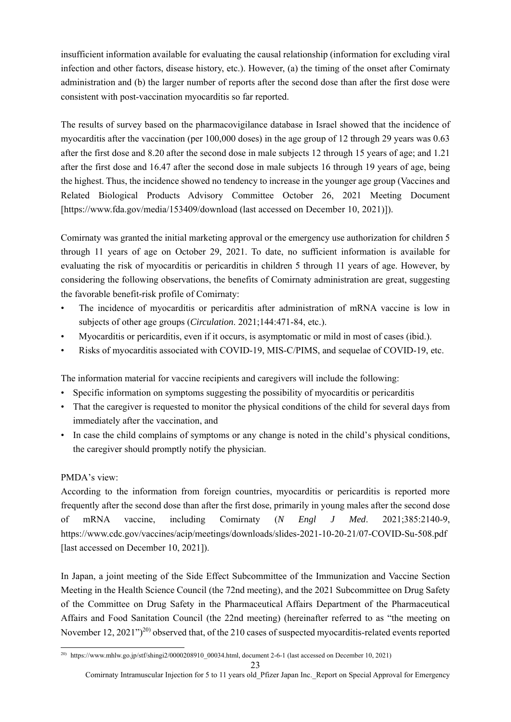insufficient information available for evaluating the causal relationship (information for excluding viral infection and other factors, disease history, etc.). However, (a) the timing of the onset after Comirnaty administration and (b) the larger number of reports after the second dose than after the first dose were consistent with post-vaccination myocarditis so far reported.

The results of survey based on the pharmacovigilance database in Israel showed that the incidence of myocarditis after the vaccination (per 100,000 doses) in the age group of 12 through 29 years was 0.63 after the first dose and 8.20 after the second dose in male subjects 12 through 15 years of age; and 1.21 after the first dose and 16.47 after the second dose in male subjects 16 through 19 years of age, being the highest. Thus, the incidence showed no tendency to increase in the younger age group (Vaccines and Related Biological Products Advisory Committee October 26, 2021 Meeting Document [https://www.fda.gov/media/153409/download (last accessed on December 10, 2021)]).

Comirnaty was granted the initial marketing approval or the emergency use authorization for children 5 through 11 years of age on October 29, 2021. To date, no sufficient information is available for evaluating the risk of myocarditis or pericarditis in children 5 through 11 years of age. However, by considering the following observations, the benefits of Comirnaty administration are great, suggesting the favorable benefit-risk profile of Comirnaty:

- The incidence of myocarditis or pericarditis after administration of mRNA vaccine is low in subjects of other age groups (*Circulation*. 2021;144:471-84, etc.).
- Myocarditis or pericarditis, even if it occurs, is asymptomatic or mild in most of cases (ibid.).
- Risks of myocarditis associated with COVID-19, MIS-C/PIMS, and sequelae of COVID-19, etc.

The information material for vaccine recipients and caregivers will include the following:

- Specific information on symptoms suggesting the possibility of myocarditis or pericarditis
- That the caregiver is requested to monitor the physical conditions of the child for several days from immediately after the vaccination, and
- In case the child complains of symptoms or any change is noted in the child's physical conditions, the caregiver should promptly notify the physician.

# PMDA's view:

According to the information from foreign countries, myocarditis or pericarditis is reported more frequently after the second dose than after the first dose, primarily in young males after the second dose of mRNA vaccine, including Comirnaty (*N Engl J Med*. 2021;385:2140-9, https://www.cdc.gov/vaccines/acip/meetings/downloads/slides-2021-10-20-21/07-COVID-Su-508.pdf [last accessed on December 10, 2021]).

In Japan, a joint meeting of the Side Effect Subcommittee of the Immunization and Vaccine Section Meeting in the Health Science Council (the 72nd meeting), and the 2021 Subcommittee on Drug Safety of the Committee on Drug Safety in the Pharmaceutical Affairs Department of the Pharmaceutical Affairs and Food Sanitation Council (the 22nd meeting) (hereinafter referred to as "the meeting on November 12, 2021")<sup>20</sup> observed that, of the 210 cases of suspected myocarditis-related events reported

<sup>1</sup> <sup>20)</sup> https://www.mhlw.go.jp/stf/shingi2/0000208910\_00034.html, document 2-6-1 (last accessed on December 10, 2021)

Comirnaty Intramuscular Injection for 5 to 11 years old\_Pfizer Japan Inc.\_Report on Special Approval for Emergency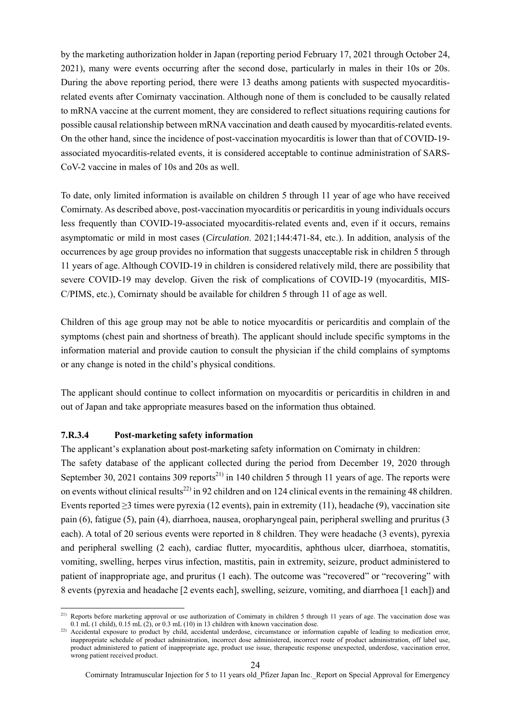by the marketing authorization holder in Japan (reporting period February 17, 2021 through October 24, 2021), many were events occurring after the second dose, particularly in males in their 10s or 20s. During the above reporting period, there were 13 deaths among patients with suspected myocarditisrelated events after Comirnaty vaccination. Although none of them is concluded to be causally related to mRNA vaccine at the current moment, they are considered to reflect situations requiring cautions for possible causal relationship between mRNA vaccination and death caused by myocarditis-related events. On the other hand, since the incidence of post-vaccination myocarditis is lower than that of COVID-19 associated myocarditis-related events, it is considered acceptable to continue administration of SARS-CoV-2 vaccine in males of 10s and 20s as well.

To date, only limited information is available on children 5 through 11 year of age who have received Comirnaty. As described above, post-vaccination myocarditis or pericarditis in young individuals occurs less frequently than COVID-19-associated myocarditis-related events and, even if it occurs, remains asymptomatic or mild in most cases (*Circulation*. 2021;144:471-84, etc.). In addition, analysis of the occurrences by age group provides no information that suggests unacceptable risk in children 5 through 11 years of age. Although COVID-19 in children is considered relatively mild, there are possibility that severe COVID-19 may develop. Given the risk of complications of COVID-19 (myocarditis, MIS-C/PIMS, etc.), Comirnaty should be available for children 5 through 11 of age as well.

Children of this age group may not be able to notice myocarditis or pericarditis and complain of the symptoms (chest pain and shortness of breath). The applicant should include specific symptoms in the information material and provide caution to consult the physician if the child complains of symptoms or any change is noted in the child's physical conditions.

The applicant should continue to collect information on myocarditis or pericarditis in children in and out of Japan and take appropriate measures based on the information thus obtained.

#### **7.R.3.4 Post-marketing safety information**

-

The applicant's explanation about post-marketing safety information on Comirnaty in children:

The safety database of the applicant collected during the period from December 19, 2020 through September 30, 2021 contains 309 reports<sup>21)</sup> in 140 children 5 through 11 years of age. The reports were on events without clinical results<sup>22)</sup> in 92 children and on 124 clinical events in the remaining 48 children. Events reported  $\geq$ 3 times were pyrexia (12 events), pain in extremity (11), headache (9), vaccination site pain (6), fatigue (5), pain (4), diarrhoea, nausea, oropharyngeal pain, peripheral swelling and pruritus (3 each). A total of 20 serious events were reported in 8 children. They were headache (3 events), pyrexia and peripheral swelling (2 each), cardiac flutter, myocarditis, aphthous ulcer, diarrhoea, stomatitis, vomiting, swelling, herpes virus infection, mastitis, pain in extremity, seizure, product administered to patient of inappropriate age, and pruritus (1 each). The outcome was "recovered" or "recovering" with 8 events (pyrexia and headache [2 events each], swelling, seizure, vomiting, and diarrhoea [1 each]) and

<sup>&</sup>lt;sup>21)</sup> Reports before marketing approval or use authorization of Comirnaty in children 5 through 11 years of age. The vaccination dose was  $0.\overline{1}$  mL (1 child),  $0.15$  mL (2), or 0.3 mL (10) in 13 children with known vaccination dose.

<sup>&</sup>lt;sup>22)</sup> Accidental exposure to product by child, accidental underdose, circumstance or information capable of leading to medication error, inappropriate schedule of product administration, incorrect dose administered, incorrect route of product administration, off label use, product administered to patient of inappropriate age, product use issue, therapeutic response unexpected, underdose, vaccination error, wrong patient received product.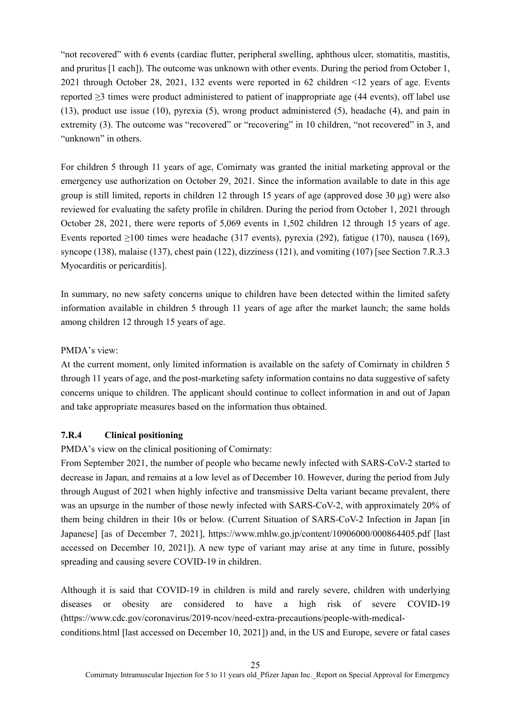"not recovered" with 6 events (cardiac flutter, peripheral swelling, aphthous ulcer, stomatitis, mastitis, and pruritus [1 each]). The outcome was unknown with other events. During the period from October 1, 2021 through October 28, 2021, 132 events were reported in 62 children <12 years of age. Events reported  $\geq$ 3 times were product administered to patient of inappropriate age (44 events), off label use (13), product use issue (10), pyrexia (5), wrong product administered (5), headache (4), and pain in extremity (3). The outcome was "recovered" or "recovering" in 10 children, "not recovered" in 3, and "unknown" in others.

For children 5 through 11 years of age, Comirnaty was granted the initial marketing approval or the emergency use authorization on October 29, 2021. Since the information available to date in this age group is still limited, reports in children 12 through 15 years of age (approved dose 30 µg) were also reviewed for evaluating the safety profile in children. During the period from October 1, 2021 through October 28, 2021, there were reports of 5,069 events in 1,502 children 12 through 15 years of age. Events reported  $\geq 100$  times were headache (317 events), pyrexia (292), fatigue (170), nausea (169), syncope (138), malaise (137), chest pain (122), dizziness (121), and vomiting (107) [see Section 7.R.3.3 Myocarditis or pericarditis].

In summary, no new safety concerns unique to children have been detected within the limited safety information available in children 5 through 11 years of age after the market launch; the same holds among children 12 through 15 years of age.

#### PMDA's view:

At the current moment, only limited information is available on the safety of Comirnaty in children 5 through 11 years of age, and the post-marketing safety information contains no data suggestive of safety concerns unique to children. The applicant should continue to collect information in and out of Japan and take appropriate measures based on the information thus obtained.

# **7.R.4 Clinical positioning**

PMDA's view on the clinical positioning of Comirnaty:

From September 2021, the number of people who became newly infected with SARS-CoV-2 started to decrease in Japan, and remains at a low level as of December 10. However, during the period from July through August of 2021 when highly infective and transmissive Delta variant became prevalent, there was an upsurge in the number of those newly infected with SARS-CoV-2, with approximately 20% of them being children in their 10s or below. (Current Situation of SARS-CoV-2 Infection in Japan [in Japanese] [as of December 7, 2021], https://www.mhlw.go.jp/content/10906000/000864405.pdf [last accessed on December 10, 2021]). A new type of variant may arise at any time in future, possibly spreading and causing severe COVID-19 in children.

Although it is said that COVID-19 in children is mild and rarely severe, children with underlying diseases or obesity are considered to have a high risk of severe COVID-19 (https://www.cdc.gov/coronavirus/2019-ncov/need-extra-precautions/people-with-medicalconditions.html [last accessed on December 10, 2021]) and, in the US and Europe, severe or fatal cases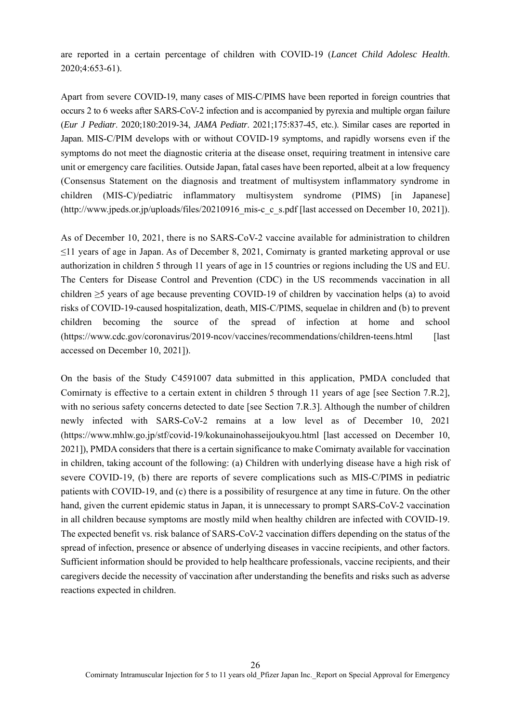are reported in a certain percentage of children with COVID-19 (*Lancet Child Adolesc Health*. 2020;4:653-61).

Apart from severe COVID-19, many cases of MIS-C/PIMS have been reported in foreign countries that occurs 2 to 6 weeks after SARS-CoV-2 infection and is accompanied by pyrexia and multiple organ failure (*Eur J Pediatr*. 2020;180:2019-34, *JAMA Pediatr*. 2021;175:837-45, etc.). Similar cases are reported in Japan. MIS-C/PIM develops with or without COVID-19 symptoms, and rapidly worsens even if the symptoms do not meet the diagnostic criteria at the disease onset, requiring treatment in intensive care unit or emergency care facilities. Outside Japan, fatal cases have been reported, albeit at a low frequency (Consensus Statement on the diagnosis and treatment of multisystem inflammatory syndrome in children (MIS-C)/pediatric inflammatory multisystem syndrome (PIMS) [in Japanese] (http://www.jpeds.or.jp/uploads/files/20210916\_mis-c\_c\_s.pdf [last accessed on December 10, 2021]).

As of December 10, 2021, there is no SARS-CoV-2 vaccine available for administration to children ≤11 years of age in Japan. As of December 8, 2021, Comirnaty is granted marketing approval or use authorization in children 5 through 11 years of age in 15 countries or regions including the US and EU. The Centers for Disease Control and Prevention (CDC) in the US recommends vaccination in all children ≥5 years of age because preventing COVID-19 of children by vaccination helps (a) to avoid risks of COVID-19-caused hospitalization, death, MIS-C/PIMS, sequelae in children and (b) to prevent children becoming the source of the spread of infection at home and school (https://www.cdc.gov/coronavirus/2019-ncov/vaccines/recommendations/children-teens.html [last accessed on December 10, 2021]).

On the basis of the Study C4591007 data submitted in this application, PMDA concluded that Comirnaty is effective to a certain extent in children 5 through 11 years of age [see Section 7.R.2], with no serious safety concerns detected to date [see Section 7.R.3]. Although the number of children newly infected with SARS-CoV-2 remains at a low level as of December 10, 2021 (https://www.mhlw.go.jp/stf/covid-19/kokunainohasseijoukyou.html [last accessed on December 10, 2021]), PMDA considers that there is a certain significance to make Comirnaty available for vaccination in children, taking account of the following: (a) Children with underlying disease have a high risk of severe COVID-19, (b) there are reports of severe complications such as MIS-C/PIMS in pediatric patients with COVID-19, and (c) there is a possibility of resurgence at any time in future. On the other hand, given the current epidemic status in Japan, it is unnecessary to prompt SARS-CoV-2 vaccination in all children because symptoms are mostly mild when healthy children are infected with COVID-19. The expected benefit vs. risk balance of SARS-CoV-2 vaccination differs depending on the status of the spread of infection, presence or absence of underlying diseases in vaccine recipients, and other factors. Sufficient information should be provided to help healthcare professionals, vaccine recipients, and their caregivers decide the necessity of vaccination after understanding the benefits and risks such as adverse reactions expected in children.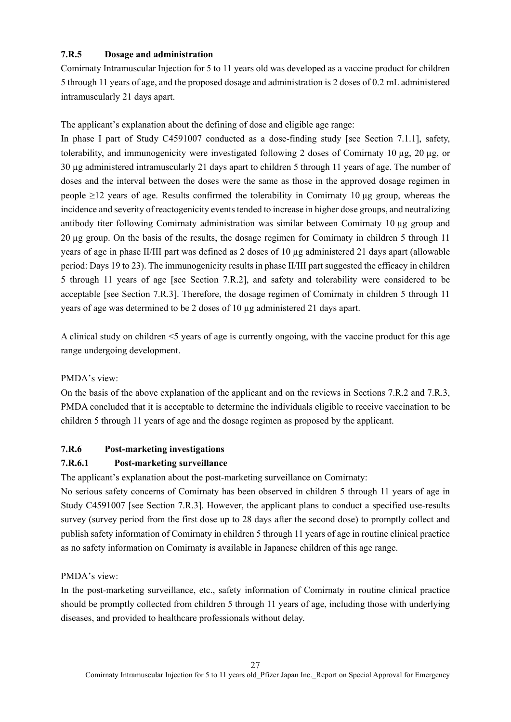# **7.R.5 Dosage and administration**

Comirnaty Intramuscular Injection for 5 to 11 years old was developed as a vaccine product for children 5 through 11 years of age, and the proposed dosage and administration is 2 doses of 0.2 mL administered intramuscularly 21 days apart.

The applicant's explanation about the defining of dose and eligible age range:

In phase I part of Study C4591007 conducted as a dose-finding study [see Section 7.1.1], safety, tolerability, and immunogenicity were investigated following 2 doses of Comirnaty 10 µg, 20 µg, or 30 µg administered intramuscularly 21 days apart to children 5 through 11 years of age. The number of doses and the interval between the doses were the same as those in the approved dosage regimen in people  $\geq$ 12 years of age. Results confirmed the tolerability in Comirnaty 10 µg group, whereas the incidence and severity of reactogenicity events tended to increase in higher dose groups, and neutralizing antibody titer following Comirnaty administration was similar between Comirnaty 10 µg group and 20 µg group. On the basis of the results, the dosage regimen for Comirnaty in children 5 through 11 years of age in phase II/III part was defined as 2 doses of 10 µg administered 21 days apart (allowable period: Days 19 to 23). The immunogenicity results in phase II/III part suggested the efficacy in children 5 through 11 years of age [see Section 7.R.2], and safety and tolerability were considered to be acceptable [see Section 7.R.3]. Therefore, the dosage regimen of Comirnaty in children 5 through 11 years of age was determined to be 2 doses of 10 µg administered 21 days apart.

A clinical study on children <5 years of age is currently ongoing, with the vaccine product for this age range undergoing development.

# PMDA's view:

On the basis of the above explanation of the applicant and on the reviews in Sections 7.R.2 and 7.R.3, PMDA concluded that it is acceptable to determine the individuals eligible to receive vaccination to be children 5 through 11 years of age and the dosage regimen as proposed by the applicant.

# **7.R.6 Post-marketing investigations**

# **7.R.6.1 Post-marketing surveillance**

The applicant's explanation about the post-marketing surveillance on Comirnaty:

No serious safety concerns of Comirnaty has been observed in children 5 through 11 years of age in Study C4591007 [see Section 7.R.3]. However, the applicant plans to conduct a specified use-results survey (survey period from the first dose up to 28 days after the second dose) to promptly collect and publish safety information of Comirnaty in children 5 through 11 years of age in routine clinical practice as no safety information on Comirnaty is available in Japanese children of this age range.

# PMDA's view:

In the post-marketing surveillance, etc., safety information of Comirnaty in routine clinical practice should be promptly collected from children 5 through 11 years of age, including those with underlying diseases, and provided to healthcare professionals without delay.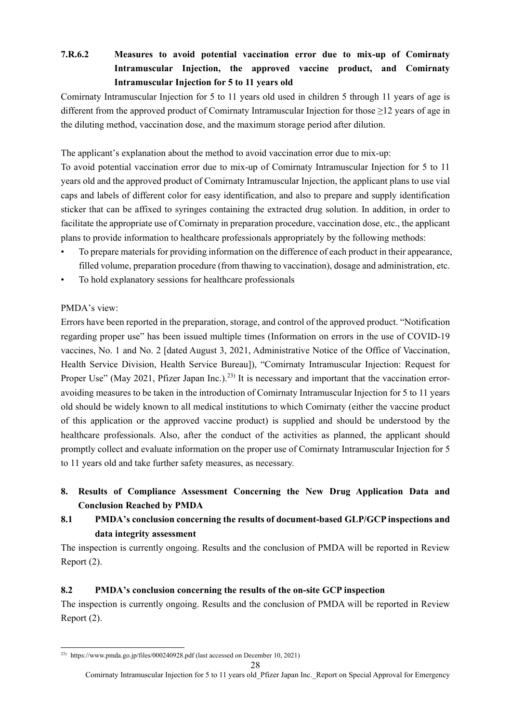# **7.R.6.2 Measures to avoid potential vaccination error due to mix-up of Comirnaty Intramuscular Injection, the approved vaccine product, and Comirnaty Intramuscular Injection for 5 to 11 years old**

Comirnaty Intramuscular Injection for 5 to 11 years old used in children 5 through 11 years of age is different from the approved product of Comirnaty Intramuscular Injection for those ≥12 years of age in the diluting method, vaccination dose, and the maximum storage period after dilution.

The applicant's explanation about the method to avoid vaccination error due to mix-up:

To avoid potential vaccination error due to mix-up of Comirnaty Intramuscular Injection for 5 to 11 years old and the approved product of Comirnaty Intramuscular Injection, the applicant plans to use vial caps and labels of different color for easy identification, and also to prepare and supply identification sticker that can be affixed to syringes containing the extracted drug solution. In addition, in order to facilitate the appropriate use of Comirnaty in preparation procedure, vaccination dose, etc., the applicant plans to provide information to healthcare professionals appropriately by the following methods:

- To prepare materials for providing information on the difference of each product in their appearance, filled volume, preparation procedure (from thawing to vaccination), dosage and administration, etc.
- To hold explanatory sessions for healthcare professionals

# PMDA's view:

Errors have been reported in the preparation, storage, and control of the approved product. "Notification regarding proper use" has been issued multiple times (Information on errors in the use of COVID-19 vaccines, No. 1 and No. 2 [dated August 3, 2021, Administrative Notice of the Office of Vaccination, Health Service Division, Health Service Bureau]), "Comirnaty Intramuscular Injection: Request for Proper Use" (May 2021, Pfizer Japan Inc.).<sup>23)</sup> It is necessary and important that the vaccination erroravoiding measures to be taken in the introduction of Comirnaty Intramuscular Injection for 5 to 11 years old should be widely known to all medical institutions to which Comirnaty (either the vaccine product of this application or the approved vaccine product) is supplied and should be understood by the healthcare professionals. Also, after the conduct of the activities as planned, the applicant should promptly collect and evaluate information on the proper use of Comirnaty Intramuscular Injection for 5 to 11 years old and take further safety measures, as necessary.

**8. Results of Compliance Assessment Concerning the New Drug Application Data and Conclusion Reached by PMDA** 

# **8.1 PMDA's conclusion concerning the results of document-based GLP/GCP inspections and data integrity assessment**

The inspection is currently ongoing. Results and the conclusion of PMDA will be reported in Review Report (2).

# **8.2 PMDA's conclusion concerning the results of the on-site GCP inspection**

The inspection is currently ongoing. Results and the conclusion of PMDA will be reported in Review Report (2).

<sup>1</sup> <sup>23)</sup> https://www.pmda.go.jp/files/000240928.pdf (last accessed on December 10, 2021)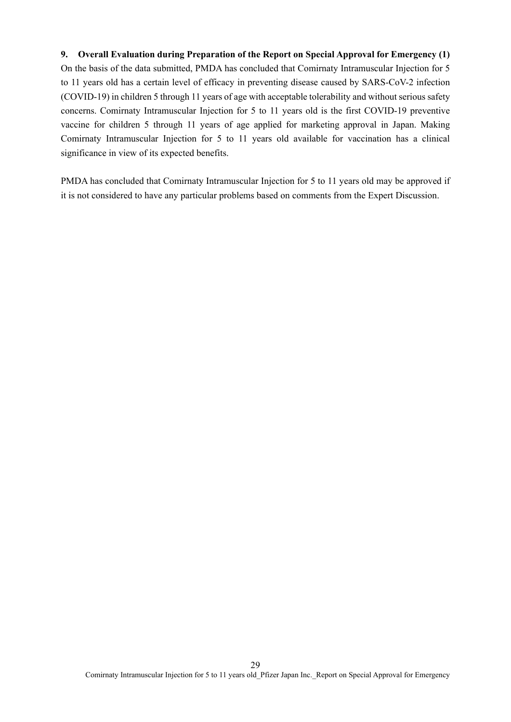# **9. Overall Evaluation during Preparation of the Report on Special Approval for Emergency (1)**  On the basis of the data submitted, PMDA has concluded that Comirnaty Intramuscular Injection for 5 to 11 years old has a certain level of efficacy in preventing disease caused by SARS-CoV-2 infection (COVID-19) in children 5 through 11 years of age with acceptable tolerability and without serious safety concerns. Comirnaty Intramuscular Injection for 5 to 11 years old is the first COVID-19 preventive vaccine for children 5 through 11 years of age applied for marketing approval in Japan. Making Comirnaty Intramuscular Injection for 5 to 11 years old available for vaccination has a clinical significance in view of its expected benefits.

PMDA has concluded that Comirnaty Intramuscular Injection for 5 to 11 years old may be approved if it is not considered to have any particular problems based on comments from the Expert Discussion.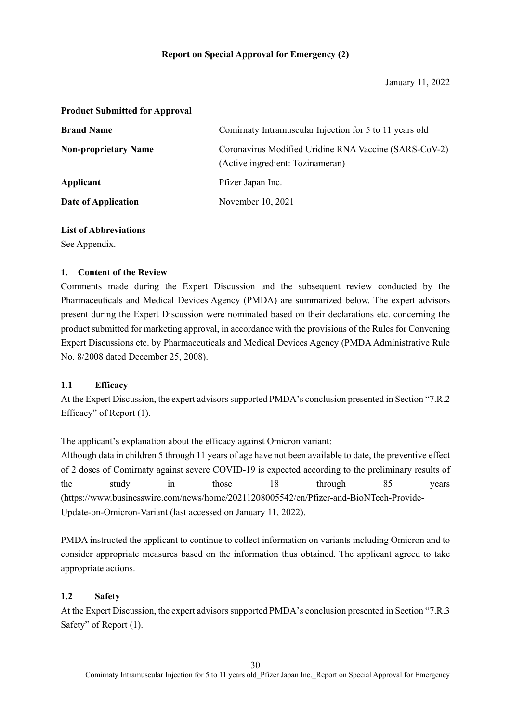#### **Product Submitted for Approval**

| <b>Brand Name</b>           | Comirnaty Intramuscular Injection for 5 to 11 years old                                   |  |
|-----------------------------|-------------------------------------------------------------------------------------------|--|
| <b>Non-proprietary Name</b> | Coronavirus Modified Uridine RNA Vaccine (SARS-CoV-2)<br>(Active ingredient: Tozinameran) |  |
| Applicant                   | Pfizer Japan Inc.                                                                         |  |
| Date of Application         | November 10, 2021                                                                         |  |

# **List of Abbreviations**

See Appendix.

### **1. Content of the Review**

Comments made during the Expert Discussion and the subsequent review conducted by the Pharmaceuticals and Medical Devices Agency (PMDA) are summarized below. The expert advisors present during the Expert Discussion were nominated based on their declarations etc. concerning the product submitted for marketing approval, in accordance with the provisions of the Rules for Convening Expert Discussions etc. by Pharmaceuticals and Medical Devices Agency (PMDA Administrative Rule No. 8/2008 dated December 25, 2008).

# **1.1 Efficacy**

At the Expert Discussion, the expert advisors supported PMDA's conclusion presented in Section "7.R.2 Efficacy" of Report (1).

The applicant's explanation about the efficacy against Omicron variant:

Although data in children 5 through 11 years of age have not been available to date, the preventive effect of 2 doses of Comirnaty against severe COVID-19 is expected according to the preliminary results of the study in those 18 through 85 years (https://www.businesswire.com/news/home/20211208005542/en/Pfizer-and-BioNTech-Provide-Update-on-Omicron-Variant (last accessed on January 11, 2022).

PMDA instructed the applicant to continue to collect information on variants including Omicron and to consider appropriate measures based on the information thus obtained. The applicant agreed to take appropriate actions.

# **1.2 Safety**

At the Expert Discussion, the expert advisors supported PMDA's conclusion presented in Section "7.R.3 Safety" of Report (1).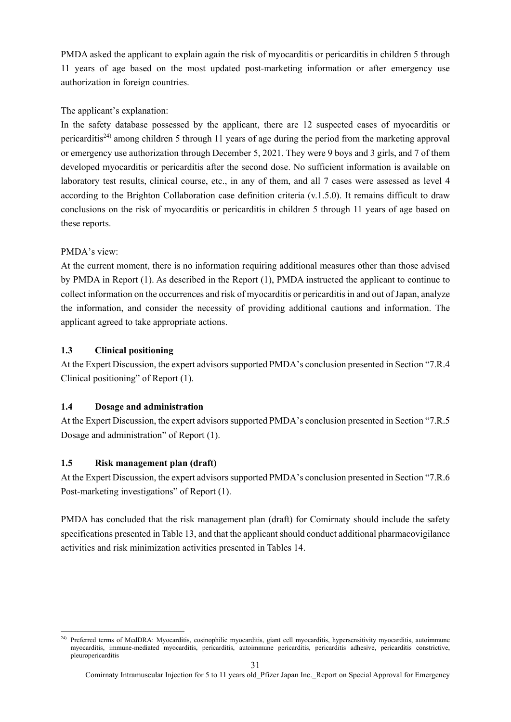PMDA asked the applicant to explain again the risk of myocarditis or pericarditis in children 5 through 11 years of age based on the most updated post-marketing information or after emergency use authorization in foreign countries.

# The applicant's explanation:

In the safety database possessed by the applicant, there are 12 suspected cases of myocarditis or pericarditis24) among children 5 through 11 years of age during the period from the marketing approval or emergency use authorization through December 5, 2021. They were 9 boys and 3 girls, and 7 of them developed myocarditis or pericarditis after the second dose. No sufficient information is available on laboratory test results, clinical course, etc., in any of them, and all 7 cases were assessed as level 4 according to the Brighton Collaboration case definition criteria (v.1.5.0). It remains difficult to draw conclusions on the risk of myocarditis or pericarditis in children 5 through 11 years of age based on these reports.

# PMDA's view:

At the current moment, there is no information requiring additional measures other than those advised by PMDA in Report (1). As described in the Report (1), PMDA instructed the applicant to continue to collect information on the occurrences and risk of myocarditis or pericarditis in and out of Japan, analyze the information, and consider the necessity of providing additional cautions and information. The applicant agreed to take appropriate actions.

# **1.3 Clinical positioning**

At the Expert Discussion, the expert advisors supported PMDA's conclusion presented in Section "7.R.4 Clinical positioning" of Report (1).

# **1.4 Dosage and administration**

At the Expert Discussion, the expert advisors supported PMDA's conclusion presented in Section "7.R.5 Dosage and administration" of Report (1).

# **1.5 Risk management plan (draft)**

At the Expert Discussion, the expert advisors supported PMDA's conclusion presented in Section "7.R.6 Post-marketing investigations" of Report (1).

PMDA has concluded that the risk management plan (draft) for Comirnaty should include the safety specifications presented in Table 13, and that the applicant should conduct additional pharmacovigilance activities and risk minimization activities presented in Tables 14.

<sup>1</sup> <sup>24)</sup> Preferred terms of MedDRA: Myocarditis, eosinophilic myocarditis, giant cell myocarditis, hypersensitivity myocarditis, autoimmune myocarditis, immune-mediated myocarditis, pericarditis, autoimmune pericarditis, pericarditis adhesive, pericarditis constrictive, pleuropericarditis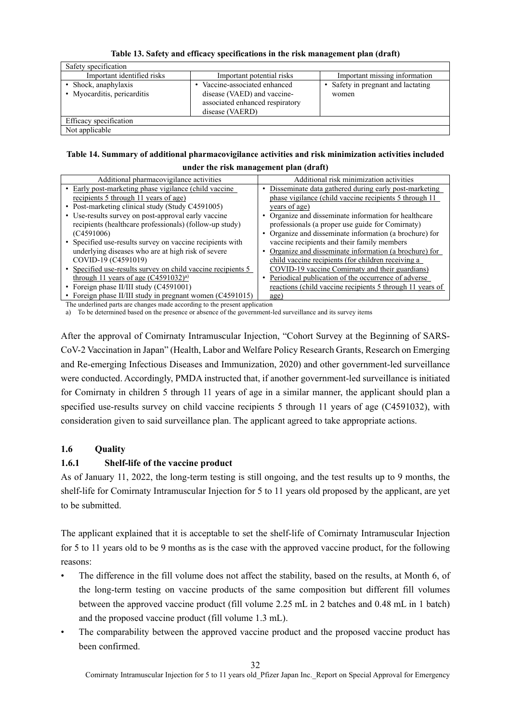| Safety specification                                |                                                                                                                  |                                           |
|-----------------------------------------------------|------------------------------------------------------------------------------------------------------------------|-------------------------------------------|
| Important identified risks                          | Important potential risks                                                                                        | Important missing information             |
| • Shock, anaphylaxis<br>• Myocarditis, pericarditis | Vaccine-associated enhanced<br>disease (VAED) and vaccine-<br>associated enhanced respiratory<br>disease (VAERD) | Safety in pregnant and lactating<br>women |
| Efficacy specification                              |                                                                                                                  |                                           |
| Not applicable                                      |                                                                                                                  |                                           |

**Table 13. Safety and efficacy specifications in the risk management plan (draft)** 

#### **Table 14. Summary of additional pharmacovigilance activities and risk minimization activities included under the risk management plan (draft)**

| Additional pharmacovigilance activities                                                                                                                                                                                                                                                                                                                                                                                  | Additional risk minimization activities                   |
|--------------------------------------------------------------------------------------------------------------------------------------------------------------------------------------------------------------------------------------------------------------------------------------------------------------------------------------------------------------------------------------------------------------------------|-----------------------------------------------------------|
| Early post-marketing phase vigilance (child vaccine)                                                                                                                                                                                                                                                                                                                                                                     | Disseminate data gathered during early post-marketing     |
| recipients 5 through 11 years of age)                                                                                                                                                                                                                                                                                                                                                                                    | phase vigilance (child vaccine recipients 5 through 11)   |
| • Post-marketing clinical study (Study C4591005)                                                                                                                                                                                                                                                                                                                                                                         | years of age)                                             |
| • Use-results survey on post-approval early vaccine                                                                                                                                                                                                                                                                                                                                                                      | Organize and disseminate information for healthcare       |
| recipients (healthcare professionals) (follow-up study)                                                                                                                                                                                                                                                                                                                                                                  | professionals (a proper use guide for Comirnaty)          |
| (C4591006)                                                                                                                                                                                                                                                                                                                                                                                                               | Organize and disseminate information (a brochure) for     |
| • Specified use-results survey on vaccine recipients with                                                                                                                                                                                                                                                                                                                                                                | vaccine recipients and their family members               |
| underlying diseases who are at high risk of severe                                                                                                                                                                                                                                                                                                                                                                       | Organize and disseminate information (a brochure) for     |
| COVID-19 (C4591019)                                                                                                                                                                                                                                                                                                                                                                                                      | child vaccine recipients (for children receiving a        |
| Specified use-results survey on child vaccine recipients 5                                                                                                                                                                                                                                                                                                                                                               | COVID-19 vaccine Comirnaty and their guardians)           |
| through 11 years of age $(C4591032)^{a}$                                                                                                                                                                                                                                                                                                                                                                                 | Periodical publication of the occurrence of adverse       |
| Foreign phase II/III study (C4591001)                                                                                                                                                                                                                                                                                                                                                                                    | reactions (child vaccine recipients 5 through 11 years of |
| Foreign phase II/III study in pregnant women (C4591015)                                                                                                                                                                                                                                                                                                                                                                  | age)                                                      |
| $\mathbf{A} = \mathbf{A} \mathbf{A} + \mathbf{A} \mathbf{A} + \mathbf{A} \mathbf{A} + \mathbf{A} \mathbf{A} + \mathbf{A} \mathbf{A} + \mathbf{A} \mathbf{A} + \mathbf{A} \mathbf{A} + \mathbf{A} \mathbf{A} + \mathbf{A} \mathbf{A} + \mathbf{A} \mathbf{A} + \mathbf{A} \mathbf{A} + \mathbf{A} \mathbf{A} + \mathbf{A} \mathbf{A} + \mathbf{A} \mathbf{A} + \mathbf{A} \mathbf{A} + \mathbf{A} \mathbf{A} + \mathbf{A$ |                                                           |

The underlined parts are changes made according to the present application

To be determined based on the presence or absence of the government-led surveillance and its survey items

After the approval of Comirnaty Intramuscular Injection, "Cohort Survey at the Beginning of SARS-CoV-2 Vaccination in Japan" (Health, Labor and Welfare Policy Research Grants, Research on Emerging and Re-emerging Infectious Diseases and Immunization, 2020) and other government-led surveillance were conducted. Accordingly, PMDA instructed that, if another government-led surveillance is initiated for Comirnaty in children 5 through 11 years of age in a similar manner, the applicant should plan a specified use-results survey on child vaccine recipients 5 through 11 years of age (C4591032), with consideration given to said surveillance plan. The applicant agreed to take appropriate actions.

# **1.6 Quality**

# **1.6.1 Shelf-life of the vaccine product**

As of January 11, 2022, the long-term testing is still ongoing, and the test results up to 9 months, the shelf-life for Comirnaty Intramuscular Injection for 5 to 11 years old proposed by the applicant, are yet to be submitted.

The applicant explained that it is acceptable to set the shelf-life of Comirnaty Intramuscular Injection for 5 to 11 years old to be 9 months as is the case with the approved vaccine product, for the following reasons:

- The difference in the fill volume does not affect the stability, based on the results, at Month 6, of the long-term testing on vaccine products of the same composition but different fill volumes between the approved vaccine product (fill volume 2.25 mL in 2 batches and 0.48 mL in 1 batch) and the proposed vaccine product (fill volume 1.3 mL).
- The comparability between the approved vaccine product and the proposed vaccine product has been confirmed.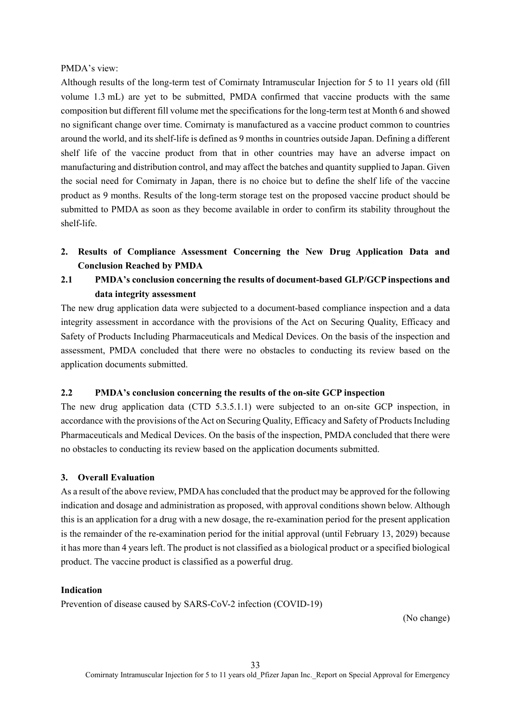#### PMDA's view:

Although results of the long-term test of Comirnaty Intramuscular Injection for 5 to 11 years old (fill volume 1.3 mL) are yet to be submitted, PMDA confirmed that vaccine products with the same composition but different fill volume met the specifications for the long-term test at Month 6 and showed no significant change over time. Comirnaty is manufactured as a vaccine product common to countries around the world, and its shelf-life is defined as 9 months in countries outside Japan. Defining a different shelf life of the vaccine product from that in other countries may have an adverse impact on manufacturing and distribution control, and may affect the batches and quantity supplied to Japan. Given the social need for Comirnaty in Japan, there is no choice but to define the shelf life of the vaccine product as 9 months. Results of the long-term storage test on the proposed vaccine product should be submitted to PMDA as soon as they become available in order to confirm its stability throughout the shelf-life.

**2. Results of Compliance Assessment Concerning the New Drug Application Data and Conclusion Reached by PMDA** 

# **2.1 PMDA's conclusion concerning the results of document-based GLP/GCP inspections and data integrity assessment**

The new drug application data were subjected to a document-based compliance inspection and a data integrity assessment in accordance with the provisions of the Act on Securing Quality, Efficacy and Safety of Products Including Pharmaceuticals and Medical Devices. On the basis of the inspection and assessment, PMDA concluded that there were no obstacles to conducting its review based on the application documents submitted.

# **2.2 PMDA's conclusion concerning the results of the on-site GCP inspection**

The new drug application data (CTD 5.3.5.1.1) were subjected to an on-site GCP inspection, in accordance with the provisions of the Act on Securing Quality, Efficacy and Safety of Products Including Pharmaceuticals and Medical Devices. On the basis of the inspection, PMDA concluded that there were no obstacles to conducting its review based on the application documents submitted.

#### **3. Overall Evaluation**

As a result of the above review, PMDA has concluded that the product may be approved for the following indication and dosage and administration as proposed, with approval conditions shown below. Although this is an application for a drug with a new dosage, the re-examination period for the present application is the remainder of the re-examination period for the initial approval (until February 13, 2029) because it has more than 4 years left. The product is not classified as a biological product or a specified biological product. The vaccine product is classified as a powerful drug.

#### **Indication**

Prevention of disease caused by SARS-CoV-2 infection (COVID-19)

(No change)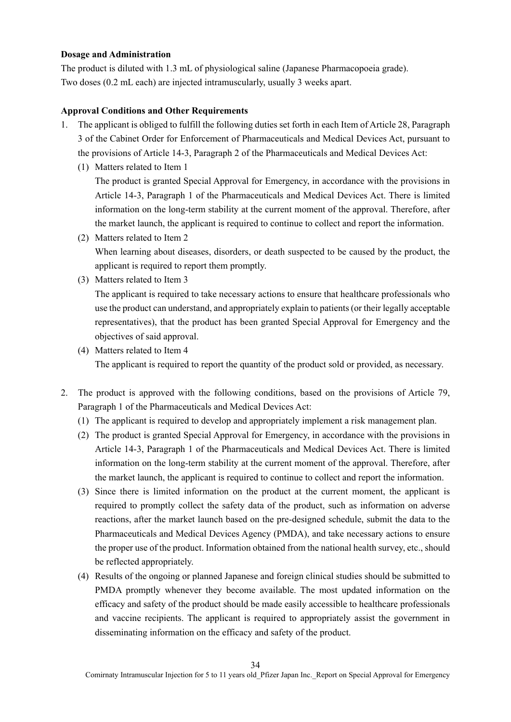#### **Dosage and Administration**

The product is diluted with 1.3 mL of physiological saline (Japanese Pharmacopoeia grade). Two doses (0.2 mL each) are injected intramuscularly, usually 3 weeks apart.

#### **Approval Conditions and Other Requirements**

- 1. The applicant is obliged to fulfill the following duties set forth in each Item of Article 28, Paragraph 3 of the Cabinet Order for Enforcement of Pharmaceuticals and Medical Devices Act, pursuant to the provisions of Article 14-3, Paragraph 2 of the Pharmaceuticals and Medical Devices Act:
	- (1) Matters related to Item 1

The product is granted Special Approval for Emergency, in accordance with the provisions in Article 14-3, Paragraph 1 of the Pharmaceuticals and Medical Devices Act. There is limited information on the long-term stability at the current moment of the approval. Therefore, after the market launch, the applicant is required to continue to collect and report the information.

- (2) Matters related to Item 2 When learning about diseases, disorders, or death suspected to be caused by the product, the applicant is required to report them promptly.
- (3) Matters related to Item 3

The applicant is required to take necessary actions to ensure that healthcare professionals who use the product can understand, and appropriately explain to patients (or their legally acceptable representatives), that the product has been granted Special Approval for Emergency and the objectives of said approval.

(4) Matters related to Item 4

The applicant is required to report the quantity of the product sold or provided, as necessary.

- 2. The product is approved with the following conditions, based on the provisions of Article 79, Paragraph 1 of the Pharmaceuticals and Medical Devices Act:
	- (1) The applicant is required to develop and appropriately implement a risk management plan.
	- (2) The product is granted Special Approval for Emergency, in accordance with the provisions in Article 14-3, Paragraph 1 of the Pharmaceuticals and Medical Devices Act. There is limited information on the long-term stability at the current moment of the approval. Therefore, after the market launch, the applicant is required to continue to collect and report the information.
	- (3) Since there is limited information on the product at the current moment, the applicant is required to promptly collect the safety data of the product, such as information on adverse reactions, after the market launch based on the pre-designed schedule, submit the data to the Pharmaceuticals and Medical Devices Agency (PMDA), and take necessary actions to ensure the proper use of the product. Information obtained from the national health survey, etc., should be reflected appropriately.
	- (4) Results of the ongoing or planned Japanese and foreign clinical studies should be submitted to PMDA promptly whenever they become available. The most updated information on the efficacy and safety of the product should be made easily accessible to healthcare professionals and vaccine recipients. The applicant is required to appropriately assist the government in disseminating information on the efficacy and safety of the product.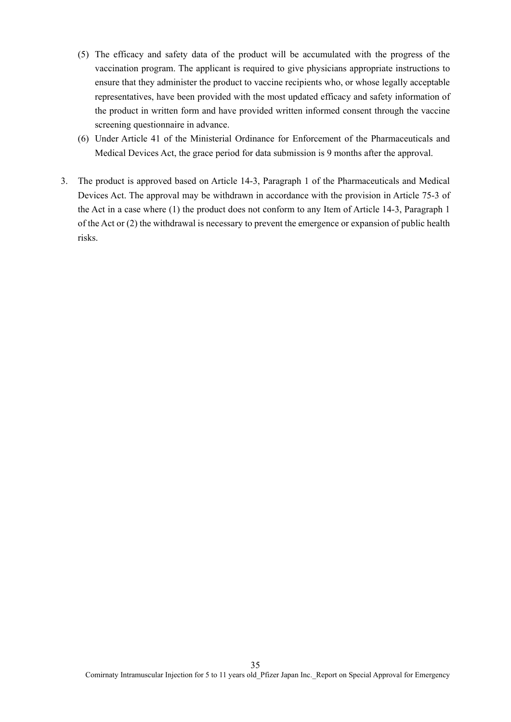- (5) The efficacy and safety data of the product will be accumulated with the progress of the vaccination program. The applicant is required to give physicians appropriate instructions to ensure that they administer the product to vaccine recipients who, or whose legally acceptable representatives, have been provided with the most updated efficacy and safety information of the product in written form and have provided written informed consent through the vaccine screening questionnaire in advance.
- (6) Under Article 41 of the Ministerial Ordinance for Enforcement of the Pharmaceuticals and Medical Devices Act, the grace period for data submission is 9 months after the approval.
- 3. The product is approved based on Article 14-3, Paragraph 1 of the Pharmaceuticals and Medical Devices Act. The approval may be withdrawn in accordance with the provision in Article 75-3 of the Act in a case where (1) the product does not conform to any Item of Article 14-3, Paragraph 1 of the Act or (2) the withdrawal is necessary to prevent the emergence or expansion of public health risks.